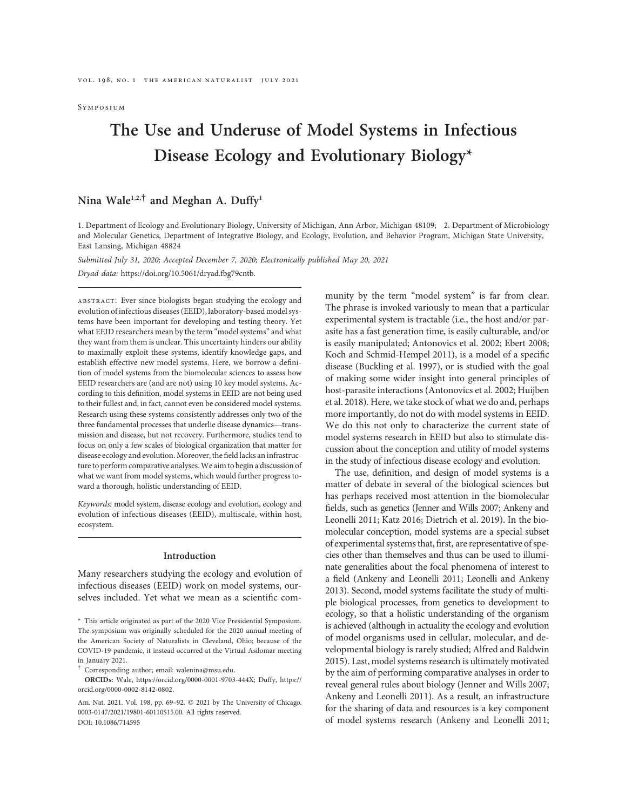**Symposium** 

# The Use and Underuse of Model Systems in Infectious Disease Ecology and Evolutionary Biology\*

Nina Wale<sup>1,2,†</sup> and Meghan A. Duffy<sup>1</sup>

1. Department of Ecology and Evolutionary Biology, University of Michigan, Ann Arbor, Michigan 48109; 2. Department of Microbiology and Molecular Genetics, Department of Integrative Biology, and Ecology, Evolution, and Behavior Program, Michigan State University, East Lansing, Michigan 48824

Submitted July 31, 2020; Accepted December 7, 2020; Electronically published May 20, 2021

Dryad data: https://doi.org/10.5061/dryad.fbg79cntb.

ABSTRACT: Ever since biologists began studying the ecology and evolution of infectious diseases (EEID), laboratory-based model systems have been important for developing and testing theory. Yet what EEID researchers mean by the term "model systems" and what they want from them is unclear. This uncertainty hinders our ability to maximally exploit these systems, identify knowledge gaps, and establish effective new model systems. Here, we borrow a definition of model systems from the biomolecular sciences to assess how EEID researchers are (and are not) using 10 key model systems. According to this definition, model systems in EEID are not being used to their fullest and, in fact, cannot even be considered model systems. Research using these systems consistently addresses only two of the three fundamental processes that underlie disease dynamics—transmission and disease, but not recovery. Furthermore, studies tend to focus on only a few scales of biological organization that matter for disease ecology and evolution. Moreover, the field lacks an infrastructure to perform comparative analyses.We aim to begin a discussion of what we want from model systems, which would further progress toward a thorough, holistic understanding of EEID.

Keywords: model system, disease ecology and evolution, ecology and evolution of infectious diseases (EEID), multiscale, within host, ecosystem.

## Introduction

Many researchers studying the ecology and evolution of infectious diseases (EEID) work on model systems, ourselves included. Yet what we mean as a scientific community by the term "model system" is far from clear. The phrase is invoked variously to mean that a particular experimental system is tractable (i.e., the host and/or parasite has a fast generation time, is easily culturable, and/or is easily manipulated; Antonovics et al. 2002; Ebert 2008; Koch and Schmid-Hempel 2011), is a model of a specific disease (Buckling et al. 1997), or is studied with the goal of making some wider insight into general principles of host-parasite interactions (Antonovics et al. 2002; Huijben et al. 2018). Here, we take stock of what we do and, perhaps more importantly, do not do with model systems in EEID. We do this not only to characterize the current state of model systems research in EEID but also to stimulate discussion about the conception and utility of model systems in the study of infectious disease ecology and evolution.

The use, definition, and design of model systems is a matter of debate in several of the biological sciences but has perhaps received most attention in the biomolecular fields, such as genetics (Jenner and Wills 2007; Ankeny and Leonelli 2011; Katz 2016; Dietrich et al. 2019). In the biomolecular conception, model systems are a special subset of experimental systems that, first, are representative of species other than themselves and thus can be used to illuminate generalities about the focal phenomena of interest to a field (Ankeny and Leonelli 2011; Leonelli and Ankeny 2013). Second, model systems facilitate the study of multiple biological processes, from genetics to development to ecology, so that a holistic understanding of the organism is achieved (although in actuality the ecology and evolution of model organisms used in cellular, molecular, and developmental biology is rarely studied; Alfred and Baldwin 2015). Last, model systems research is ultimately motivated by the aim of performing comparative analyses in order to reveal general rules about biology (Jenner and Wills 2007; Ankeny and Leonelli 2011). As a result, an infrastructure for the sharing of data and resources is a key component of model systems research (Ankeny and Leonelli 2011;

<sup>\*</sup> This article originated as part of the 2020 Vice Presidential Symposium. The symposium was originally scheduled for the 2020 annual meeting of the American Society of Naturalists in Cleveland, Ohio; because of the COVID-19 pandemic, it instead occurred at the Virtual Asilomar meeting in January 2021.

<sup>†</sup> Corresponding author; email: walenina@msu.edu.

ORCIDs: Wale, https://orcid.org/0000-0001-9703-444X; Duffy, https:// orcid.org/0000-0002-8142-0802.

Am. Nat. 2021. Vol. 198, pp. 69-92.  $\oslash$  2021 by The University of Chicago. 0003-0147/2021/19801-60110\$15.00. All rights reserved. DOI: 10.1086/714595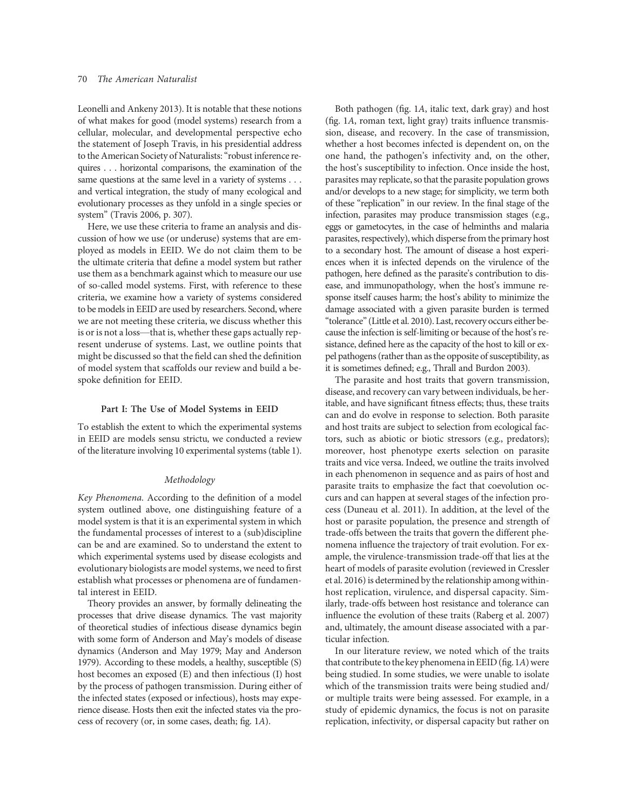Leonelli and Ankeny 2013). It is notable that these notions of what makes for good (model systems) research from a cellular, molecular, and developmental perspective echo the statement of Joseph Travis, in his presidential address to the American Society of Naturalists:"robust inference requires . . . horizontal comparisons, the examination of the same questions at the same level in a variety of systems . . . and vertical integration, the study of many ecological and evolutionary processes as they unfold in a single species or system" (Travis 2006, p. 307).

Here, we use these criteria to frame an analysis and discussion of how we use (or underuse) systems that are employed as models in EEID. We do not claim them to be the ultimate criteria that define a model system but rather use them as a benchmark against which to measure our use of so-called model systems. First, with reference to these criteria, we examine how a variety of systems considered to be models in EEID are used by researchers. Second, where we are not meeting these criteria, we discuss whether this is or is not a loss—that is, whether these gaps actually represent underuse of systems. Last, we outline points that might be discussed so that the field can shed the definition of model system that scaffolds our review and build a bespoke definition for EEID.

## Part I: The Use of Model Systems in EEID

To establish the extent to which the experimental systems in EEID are models sensu strictu, we conducted a review of the literature involving 10 experimental systems (table 1).

## Methodology

Key Phenomena. According to the definition of a model system outlined above, one distinguishing feature of a model system is that it is an experimental system in which the fundamental processes of interest to a (sub)discipline can be and are examined. So to understand the extent to which experimental systems used by disease ecologists and evolutionary biologists are model systems, we need to first establish what processes or phenomena are of fundamental interest in EEID.

Theory provides an answer, by formally delineating the processes that drive disease dynamics. The vast majority of theoretical studies of infectious disease dynamics begin with some form of Anderson and May's models of disease dynamics (Anderson and May 1979; May and Anderson 1979). According to these models, a healthy, susceptible (S) host becomes an exposed (E) and then infectious (I) host by the process of pathogen transmission. During either of the infected states (exposed or infectious), hosts may experience disease. Hosts then exit the infected states via the process of recovery (or, in some cases, death; fig. 1A).

Both pathogen (fig. 1A, italic text, dark gray) and host (fig. 1A, roman text, light gray) traits influence transmission, disease, and recovery. In the case of transmission, whether a host becomes infected is dependent on, on the one hand, the pathogen's infectivity and, on the other, the host's susceptibility to infection. Once inside the host, parasites may replicate, so that the parasite population grows and/or develops to a new stage; for simplicity, we term both of these "replication" in our review. In the final stage of the infection, parasites may produce transmission stages (e.g., eggs or gametocytes, in the case of helminths and malaria parasites, respectively), which disperse from the primary host to a secondary host. The amount of disease a host experiences when it is infected depends on the virulence of the pathogen, here defined as the parasite's contribution to disease, and immunopathology, when the host's immune response itself causes harm; the host's ability to minimize the damage associated with a given parasite burden is termed "tolerance"(Little et al. 2010). Last, recovery occurs either because the infection is self-limiting or because of the host's resistance, defined here as the capacity of the host to kill or expel pathogens (rather than as the opposite of susceptibility, as it is sometimes defined; e.g., Thrall and Burdon 2003).

The parasite and host traits that govern transmission, disease, and recovery can vary between individuals, be heritable, and have significant fitness effects; thus, these traits can and do evolve in response to selection. Both parasite and host traits are subject to selection from ecological factors, such as abiotic or biotic stressors (e.g., predators); moreover, host phenotype exerts selection on parasite traits and vice versa. Indeed, we outline the traits involved in each phenomenon in sequence and as pairs of host and parasite traits to emphasize the fact that coevolution occurs and can happen at several stages of the infection process (Duneau et al. 2011). In addition, at the level of the host or parasite population, the presence and strength of trade-offs between the traits that govern the different phenomena influence the trajectory of trait evolution. For example, the virulence-transmission trade-off that lies at the heart of models of parasite evolution (reviewed in Cressler et al. 2016) is determined by the relationship among withinhost replication, virulence, and dispersal capacity. Similarly, trade-offs between host resistance and tolerance can influence the evolution of these traits (Raberg et al. 2007) and, ultimately, the amount disease associated with a particular infection.

In our literature review, we noted which of the traits that contribute to the key phenomena in EEID (fig. 1A) were being studied. In some studies, we were unable to isolate which of the transmission traits were being studied and/ or multiple traits were being assessed. For example, in a study of epidemic dynamics, the focus is not on parasite replication, infectivity, or dispersal capacity but rather on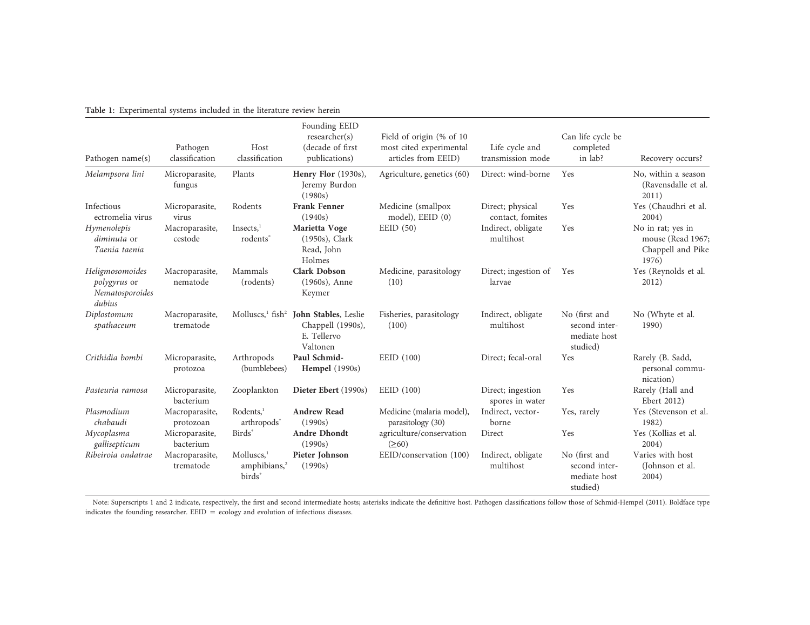| Table 1: Experimental systems included in the literature review herein |  |  |  |
|------------------------------------------------------------------------|--|--|--|
|------------------------------------------------------------------------|--|--|--|

| Pathogen name(s)                                             | Pathogen<br>classification  | Host<br>classification                                             | Founding EEID<br>researcher(s)<br>(decade of first)<br>publications)                                                  | Field of origin (% of 10<br>most cited experimental<br>articles from EEID) | Life cycle and<br>transmission mode  | Can life cycle be<br>completed<br>in lab?                  | Recovery occurs?                                                     |
|--------------------------------------------------------------|-----------------------------|--------------------------------------------------------------------|-----------------------------------------------------------------------------------------------------------------------|----------------------------------------------------------------------------|--------------------------------------|------------------------------------------------------------|----------------------------------------------------------------------|
| Melampsora lini                                              | Microparasite,<br>fungus    | Plants                                                             | Henry Flor (1930s),<br>Jeremy Burdon<br>(1980s)                                                                       | Agriculture, genetics (60)                                                 | Direct: wind-borne                   | Yes                                                        | No, within a season<br>(Ravensdalle et al.<br>2011)                  |
| Infectious<br>ectromelia virus                               | Microparasite,<br>virus     | Rodents                                                            | <b>Frank Fenner</b><br>(1940s)                                                                                        | Medicine (smallpox<br>model), EEID (0)                                     | Direct; physical<br>contact, fomites | Yes                                                        | Yes (Chaudhri et al.<br>2004)                                        |
| Hymenolepis<br><i>diminuta</i> or<br>Taenia taenia           | Macroparasite,<br>cestode   | Insects, <sup>1</sup><br>rodents <sup>*</sup>                      | Marietta Voge<br>$(1950s)$ , Clark<br>Read, John<br>Holmes                                                            | EED(50)                                                                    | Indirect, obligate<br>multihost      | Yes                                                        | No in rat; yes in<br>mouse (Read 1967;<br>Chappell and Pike<br>1976) |
| Heligmosomoides<br>polygyrus or<br>Nematosporoides<br>dubius | Macroparasite,<br>nematode  | Mammals<br>(rodents)                                               | <b>Clark Dobson</b><br>$(1960s)$ , Anne<br>Keymer                                                                     | Medicine, parasitology<br>(10)                                             | Direct; ingestion of<br>larvae       | Yes                                                        | Yes (Reynolds et al.<br>2012)                                        |
| Diplostomum<br>spathaceum                                    | Macroparasite,<br>trematode |                                                                    | Molluscs, <sup>1</sup> fish <sup>2</sup> <b>John Stables</b> , Leslie<br>Chappell (1990s),<br>E. Tellervo<br>Valtonen | Fisheries, parasitology<br>(100)                                           | Indirect, obligate<br>multihost      | No (first and<br>second inter-<br>mediate host<br>studied) | No (Whyte et al.<br>1990)                                            |
| Crithidia bombi                                              | Microparasite,<br>protozoa  | Arthropods<br>(bumblebees)                                         | Paul Schmid-<br><b>Hempel</b> (1990s)                                                                                 | EEID (100)                                                                 | Direct; fecal-oral                   | Yes                                                        | Rarely (B. Sadd,<br>personal commu-<br>nication)                     |
| Pasteuria ramosa                                             | Microparasite,<br>bacterium | Zooplankton                                                        | Dieter Ebert (1990s)                                                                                                  | EEID (100)                                                                 | Direct; ingestion<br>spores in water | Yes                                                        | Rarely (Hall and<br>Ebert 2012)                                      |
| Plasmodium<br>chabaudi                                       | Macroparasite,<br>protozoan | Rodents, <sup>1</sup><br>arthropods <sup>*</sup>                   | <b>Andrew Read</b><br>(1990s)                                                                                         | Medicine (malaria model),<br>parasitology (30)                             | Indirect, vector-<br>borne           | Yes, rarely                                                | Yes (Stevenson et al.<br>1982)                                       |
| Mycoplasma<br>gallisepticum                                  | Microparasite,<br>bacterium | Birds*                                                             | <b>Andre Dhondt</b><br>(1990s)                                                                                        | agriculture/conservation<br>$(\geq 60)$                                    | Direct                               | Yes                                                        | Yes (Kollias et al.<br>2004)                                         |
| Ribeiroia ondatrae                                           | Macroparasite,<br>trematode | $M$ olluscs, $1$<br>amphibians, <sup>2</sup><br>birds <sup>*</sup> | Pieter Johnson<br>(1990s)                                                                                             | EEID/conservation (100)                                                    | Indirect, obligate<br>multihost      | No (first and<br>second inter-<br>mediate host<br>studied) | Varies with host<br>(Johnson et al.<br>2004)                         |

Note: Superscripts <sup>1</sup> and <sup>2</sup> indicate, respectively, the first and second intermediate hosts; asterisks indicate the definitive host. Pathogen classifications follow those of Schmid-Hempel (2011). Boldface type indicates the founding researcher.  $EED =$  ecology and evolution of infectious diseases.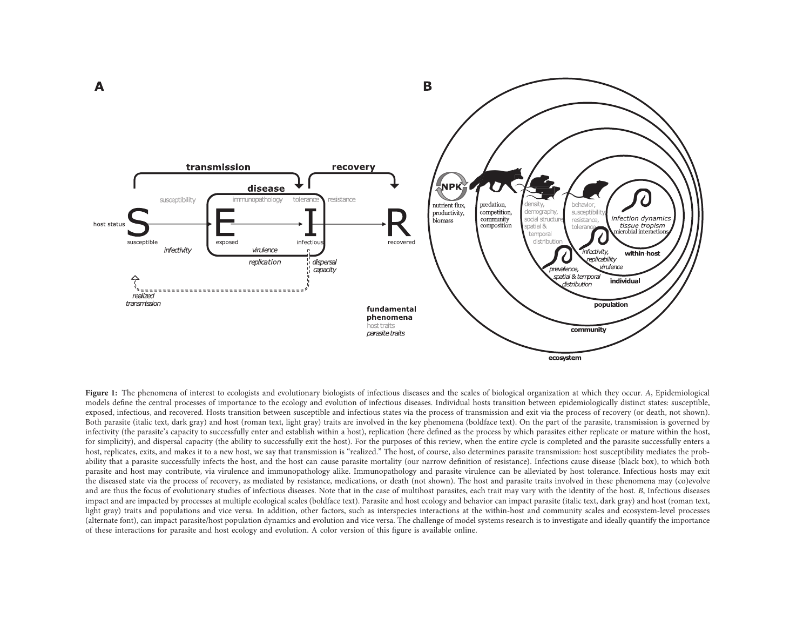

Figure 1: The phenomena of interest to ecologists and evolutionary biologists of infectious diseases and the scales of biological organization at which they occur. A, Epidemiological models define the central processes of importance to the ecology and evolution of infectious diseases. Individual hosts transition between epidemiologically distinct states: susceptible, exposed, infectious, and recovered. Hosts transition between susceptible and infectious states via the process of transmission and exit via the process of recovery (or death, not shown). Both parasite (italic text, dark gray) and host (roman text, light gray) traits are involved in the key phenomena (boldface text). On the part of the parasite, transmission is governed by infectivity (the parasite'<sup>s</sup> capacity to successfully enter and establish within <sup>a</sup> host), replication (here defined as the process by which parasites either replicate or mature within the host, for simplicity), and dispersal capacity (the ability to successfully exit the host). For the purposes of this review, when the entire cycle is completed and the parasite successfully enters <sup>a</sup> host, replicates, exits, and makes it to a new host, we say that transmission is "realized." The host, of course, also determines parasite transmission: host susceptibility mediates the probability that a parasite successfully infects the host, and the host can cause parasite mortality (our narrow definition of resistance). Infections cause disease (black box), to which both parasite and host may contribute, via virulence and immunopathology alike. Immunopathology and parasite virulence can be alleviated by host tolerance. Infectious hosts may exit the diseased state via the process of recovery, as mediated by resistance, medications, or death (not shown). The host and parasite traits involved in these phenomena may (co)evolve and are thus the focus of evolutionary studies of infectious diseases. Note that in the case of multihost parasites, each trait may vary with the identity of the host. B, Infectious diseases impact and are impacted by processes at multiple ecological scales (boldface text). Parasite and host ecology and behavior can impact parasite (italic text, dark gray) and host (roman text, light gray) traits and populations and vice versa. In addition, other factors, such as interspecies interactions at the within-host and community scales and ecosystem-level processes (alternate font), can impact parasite/host population dynamics and evolution and vice versa. The challenge of model systems research is to investigate and ideally quantify the importance of these interactions for parasite and host ecology and evolution. <sup>A</sup> color version of this figure is available online.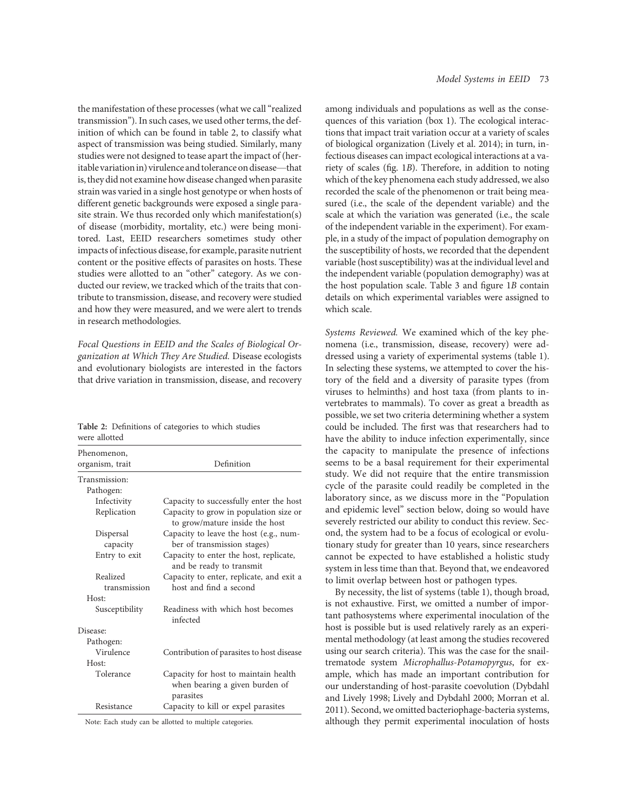the manifestation of these processes (what we call"realized transmission"). In such cases, we used other terms, the definition of which can be found in table 2, to classify what aspect of transmission was being studied. Similarly, many studies were not designed to tease apart the impact of (heritable variationin) virulence and tolerance on disease—that is, they did not examine how disease changed when parasite strain was varied in a single host genotype or when hosts of different genetic backgrounds were exposed a single parasite strain. We thus recorded only which manifestation(s) of disease (morbidity, mortality, etc.) were being monitored. Last, EEID researchers sometimes study other impacts of infectious disease, for example, parasite nutrient content or the positive effects of parasites on hosts. These studies were allotted to an "other" category. As we conducted our review, we tracked which of the traits that contribute to transmission, disease, and recovery were studied and how they were measured, and we were alert to trends in research methodologies.

Focal Questions in EEID and the Scales of Biological Organization at Which They Are Studied. Disease ecologists and evolutionary biologists are interested in the factors that drive variation in transmission, disease, and recovery

Table 2: Definitions of categories to which studies were allotted

| Phenomenon,<br>organism, trait | Definition                                                                          |
|--------------------------------|-------------------------------------------------------------------------------------|
| Transmission:                  |                                                                                     |
| Pathogen:                      |                                                                                     |
| Infectivity                    | Capacity to successfully enter the host                                             |
| Replication                    | Capacity to grow in population size or<br>to grow/mature inside the host            |
| Dispersal<br>capacity          | Capacity to leave the host (e.g., num-<br>ber of transmission stages)               |
| Entry to exit                  | Capacity to enter the host, replicate,<br>and be ready to transmit                  |
| Realized<br>transmission       | Capacity to enter, replicate, and exit a<br>host and find a second                  |
| Host:                          |                                                                                     |
| Susceptibility                 | Readiness with which host becomes<br>infected                                       |
| Disease:                       |                                                                                     |
| Pathogen:                      |                                                                                     |
| Virulence                      | Contribution of parasites to host disease                                           |
| Host:                          |                                                                                     |
| Tolerance                      | Capacity for host to maintain health<br>when bearing a given burden of<br>parasites |
| Resistance                     | Capacity to kill or expel parasites                                                 |

Note: Each study can be allotted to multiple categories.

among individuals and populations as well as the consequences of this variation (box 1). The ecological interactions that impact trait variation occur at a variety of scales of biological organization (Lively et al. 2014); in turn, infectious diseases can impact ecological interactions at a variety of scales (fig. 1B). Therefore, in addition to noting which of the key phenomena each study addressed, we also recorded the scale of the phenomenon or trait being measured (i.e., the scale of the dependent variable) and the scale at which the variation was generated (i.e., the scale of the independent variable in the experiment). For example, in a study of the impact of population demography on the susceptibility of hosts, we recorded that the dependent variable (host susceptibility) was at the individual level and the independent variable (population demography) was at the host population scale. Table 3 and figure 1B contain details on which experimental variables were assigned to which scale.

Systems Reviewed. We examined which of the key phenomena (i.e., transmission, disease, recovery) were addressed using a variety of experimental systems (table 1). In selecting these systems, we attempted to cover the history of the field and a diversity of parasite types (from viruses to helminths) and host taxa (from plants to invertebrates to mammals). To cover as great a breadth as possible, we set two criteria determining whether a system could be included. The first was that researchers had to have the ability to induce infection experimentally, since the capacity to manipulate the presence of infections seems to be a basal requirement for their experimental study. We did not require that the entire transmission cycle of the parasite could readily be completed in the laboratory since, as we discuss more in the "Population and epidemic level" section below, doing so would have severely restricted our ability to conduct this review. Second, the system had to be a focus of ecological or evolutionary study for greater than 10 years, since researchers cannot be expected to have established a holistic study system in less time than that. Beyond that, we endeavored to limit overlap between host or pathogen types.

By necessity, the list of systems (table 1), though broad, is not exhaustive. First, we omitted a number of important pathosystems where experimental inoculation of the host is possible but is used relatively rarely as an experimental methodology (at least among the studies recovered using our search criteria). This was the case for the snailtrematode system Microphallus-Potamopyrgus, for example, which has made an important contribution for our understanding of host-parasite coevolution (Dybdahl and Lively 1998; Lively and Dybdahl 2000; Morran et al. 2011). Second, we omitted bacteriophage-bacteria systems, although they permit experimental inoculation of hosts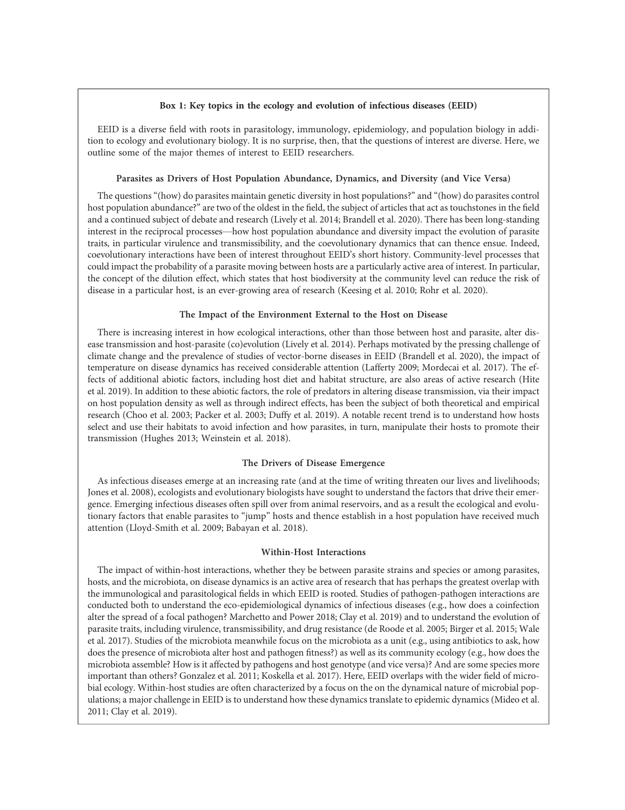## Box 1: Key topics in the ecology and evolution of infectious diseases (EEID)

EEID is a diverse field with roots in parasitology, immunology, epidemiology, and population biology in addition to ecology and evolutionary biology. It is no surprise, then, that the questions of interest are diverse. Here, we outline some of the major themes of interest to EEID researchers.

## Parasites as Drivers of Host Population Abundance, Dynamics, and Diversity (and Vice Versa)

The questions "(how) do parasites maintain genetic diversity in host populations?" and "(how) do parasites control host population abundance?" are two of the oldest in the field, the subject of articles that act as touchstones in the field and a continued subject of debate and research (Lively et al. 2014; Brandell et al. 2020). There has been long-standing interest in the reciprocal processes—how host population abundance and diversity impact the evolution of parasite traits, in particular virulence and transmissibility, and the coevolutionary dynamics that can thence ensue. Indeed, coevolutionary interactions have been of interest throughout EEID's short history. Community-level processes that could impact the probability of a parasite moving between hosts are a particularly active area of interest. In particular, the concept of the dilution effect, which states that host biodiversity at the community level can reduce the risk of disease in a particular host, is an ever-growing area of research (Keesing et al. 2010; Rohr et al. 2020).

# The Impact of the Environment External to the Host on Disease

There is increasing interest in how ecological interactions, other than those between host and parasite, alter disease transmission and host-parasite (co)evolution (Lively et al. 2014). Perhaps motivated by the pressing challenge of climate change and the prevalence of studies of vector-borne diseases in EEID (Brandell et al. 2020), the impact of temperature on disease dynamics has received considerable attention (Lafferty 2009; Mordecai et al. 2017). The effects of additional abiotic factors, including host diet and habitat structure, are also areas of active research (Hite et al. 2019). In addition to these abiotic factors, the role of predators in altering disease transmission, via their impact on host population density as well as through indirect effects, has been the subject of both theoretical and empirical research (Choo et al. 2003; Packer et al. 2003; Duffy et al. 2019). A notable recent trend is to understand how hosts select and use their habitats to avoid infection and how parasites, in turn, manipulate their hosts to promote their transmission (Hughes 2013; Weinstein et al. 2018).

## The Drivers of Disease Emergence

As infectious diseases emerge at an increasing rate (and at the time of writing threaten our lives and livelihoods; Jones et al. 2008), ecologists and evolutionary biologists have sought to understand the factors that drive their emergence. Emerging infectious diseases often spill over from animal reservoirs, and as a result the ecological and evolutionary factors that enable parasites to "jump" hosts and thence establish in a host population have received much attention (Lloyd-Smith et al. 2009; Babayan et al. 2018).

## Within-Host Interactions

The impact of within-host interactions, whether they be between parasite strains and species or among parasites, hosts, and the microbiota, on disease dynamics is an active area of research that has perhaps the greatest overlap with the immunological and parasitological fields in which EEID is rooted. Studies of pathogen-pathogen interactions are conducted both to understand the eco-epidemiological dynamics of infectious diseases (e.g., how does a coinfection alter the spread of a focal pathogen? Marchetto and Power 2018; Clay et al. 2019) and to understand the evolution of parasite traits, including virulence, transmissibility, and drug resistance (de Roode et al. 2005; Birger et al. 2015; Wale et al. 2017). Studies of the microbiota meanwhile focus on the microbiota as a unit (e.g., using antibiotics to ask, how does the presence of microbiota alter host and pathogen fitness?) as well as its community ecology (e.g., how does the microbiota assemble? How is it affected by pathogens and host genotype (and vice versa)? And are some species more important than others? Gonzalez et al. 2011; Koskella et al. 2017). Here, EEID overlaps with the wider field of microbial ecology. Within-host studies are often characterized by a focus on the on the dynamical nature of microbial populations; a major challenge in EEID is to understand how these dynamics translate to epidemic dynamics (Mideo et al. 2011; Clay et al. 2019).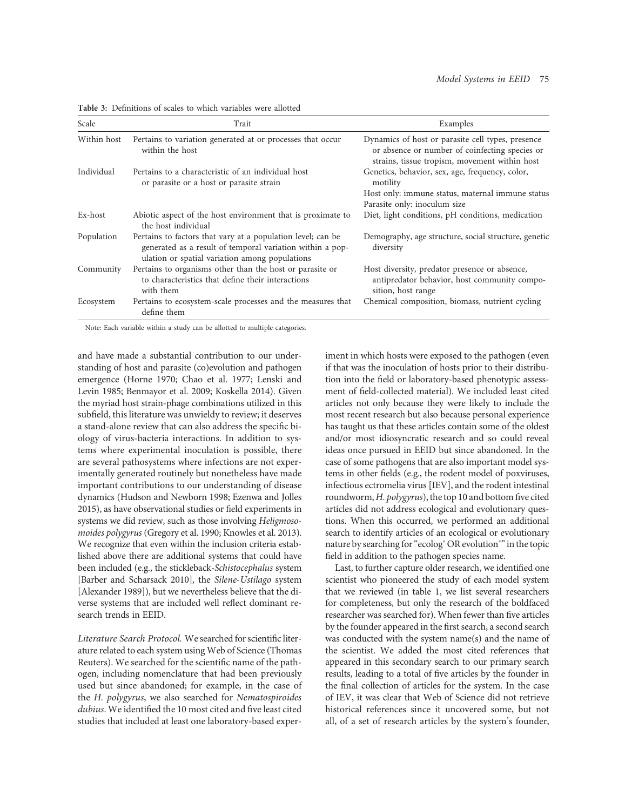| Scale       | Trait                                                                                                                                                                      | Examples                                                                                                                                             |
|-------------|----------------------------------------------------------------------------------------------------------------------------------------------------------------------------|------------------------------------------------------------------------------------------------------------------------------------------------------|
| Within host | Pertains to variation generated at or processes that occur<br>within the host                                                                                              | Dynamics of host or parasite cell types, presence<br>or absence or number of coinfecting species or<br>strains, tissue tropism, movement within host |
| Individual  | Pertains to a characteristic of an individual host<br>or parasite or a host or parasite strain                                                                             | Genetics, behavior, sex, age, frequency, color,<br>motility                                                                                          |
|             |                                                                                                                                                                            | Host only: immune status, maternal immune status<br>Parasite only: inoculum size                                                                     |
| Ex-host     | Abiotic aspect of the host environment that is proximate to<br>the host individual                                                                                         | Diet, light conditions, pH conditions, medication                                                                                                    |
| Population  | Pertains to factors that vary at a population level; can be<br>generated as a result of temporal variation within a pop-<br>ulation or spatial variation among populations | Demography, age structure, social structure, genetic<br>diversity                                                                                    |
| Community   | Pertains to organisms other than the host or parasite or<br>to characteristics that define their interactions<br>with them                                                 | Host diversity, predator presence or absence,<br>antipredator behavior, host community compo-<br>sition, host range                                  |
| Ecosystem   | Pertains to ecosystem-scale processes and the measures that<br>define them                                                                                                 | Chemical composition, biomass, nutrient cycling                                                                                                      |

Table 3: Definitions of scales to which variables were allotted

Note: Each variable within a study can be allotted to multiple categories.

and have made a substantial contribution to our understanding of host and parasite (co)evolution and pathogen emergence (Horne 1970; Chao et al. 1977; Lenski and Levin 1985; Benmayor et al. 2009; Koskella 2014). Given the myriad host strain-phage combinations utilized in this subfield, this literature was unwieldy to review; it deserves a stand-alone review that can also address the specific biology of virus-bacteria interactions. In addition to systems where experimental inoculation is possible, there are several pathosystems where infections are not experimentally generated routinely but nonetheless have made important contributions to our understanding of disease dynamics (Hudson and Newborn 1998; Ezenwa and Jolles 2015), as have observational studies or field experiments in systems we did review, such as those involving Heligmosomoides polygyrus (Gregory et al. 1990; Knowles et al. 2013). We recognize that even within the inclusion criteria established above there are additional systems that could have been included (e.g., the stickleback-Schistocephalus system [Barber and Scharsack 2010], the Silene-Ustilago system [Alexander 1989]), but we nevertheless believe that the diverse systems that are included well reflect dominant research trends in EEID.

Literature Search Protocol. We searched for scientific literature related to each system using Web of Science (Thomas Reuters). We searched for the scientific name of the pathogen, including nomenclature that had been previously used but since abandoned; for example, in the case of the H. polygyrus, we also searched for Nematospiroides dubius. We identified the 10 most cited and five least cited studies that included at least one laboratory-based experiment in which hosts were exposed to the pathogen (even if that was the inoculation of hosts prior to their distribution into the field or laboratory-based phenotypic assessment of field-collected material). We included least cited articles not only because they were likely to include the most recent research but also because personal experience has taught us that these articles contain some of the oldest and/or most idiosyncratic research and so could reveal ideas once pursued in EEID but since abandoned. In the case of some pathogens that are also important model systems in other fields (e.g., the rodent model of poxviruses, infectious ectromelia virus [IEV], and the rodent intestinal roundworm, H. polygyrus), the top 10 and bottom five cited articles did not address ecological and evolutionary questions. When this occurred, we performed an additional search to identify articles of an ecological or evolutionary nature by searching for "ecolog<sup>\*</sup> OR evolution<sup>\*</sup>" in the topic field in addition to the pathogen species name.

Last, to further capture older research, we identified one scientist who pioneered the study of each model system that we reviewed (in table 1, we list several researchers for completeness, but only the research of the boldfaced researcher was searched for). When fewer than five articles by the founder appeared in the first search, a second search was conducted with the system name(s) and the name of the scientist. We added the most cited references that appeared in this secondary search to our primary search results, leading to a total of five articles by the founder in the final collection of articles for the system. In the case of IEV, it was clear that Web of Science did not retrieve historical references since it uncovered some, but not all, of a set of research articles by the system's founder,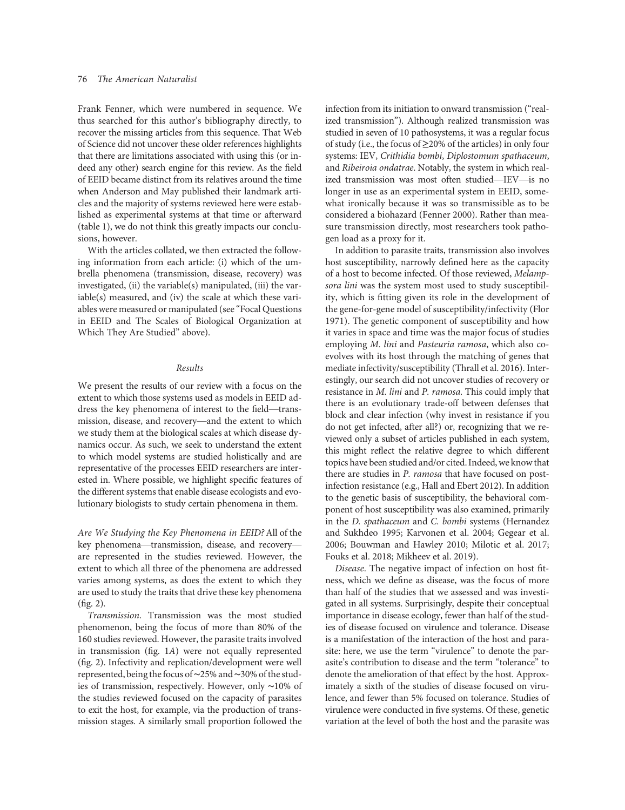Frank Fenner, which were numbered in sequence. We thus searched for this author's bibliography directly, to recover the missing articles from this sequence. That Web of Science did not uncover these older references highlights that there are limitations associated with using this (or indeed any other) search engine for this review. As the field of EEID became distinct from its relatives around the time when Anderson and May published their landmark articles and the majority of systems reviewed here were established as experimental systems at that time or afterward (table 1), we do not think this greatly impacts our conclusions, however.

With the articles collated, we then extracted the following information from each article: (i) which of the umbrella phenomena (transmission, disease, recovery) was investigated, (ii) the variable(s) manipulated, (iii) the variable(s) measured, and (iv) the scale at which these variables were measured or manipulated (see "Focal Questions in EEID and The Scales of Biological Organization at Which They Are Studied" above).

## Results

We present the results of our review with a focus on the extent to which those systems used as models in EEID address the key phenomena of interest to the field—transmission, disease, and recovery—and the extent to which we study them at the biological scales at which disease dynamics occur. As such, we seek to understand the extent to which model systems are studied holistically and are representative of the processes EEID researchers are interested in. Where possible, we highlight specific features of the different systems that enable disease ecologists and evolutionary biologists to study certain phenomena in them.

Are We Studying the Key Phenomena in EEID?All of the key phenomena—transmission, disease, and recovery are represented in the studies reviewed. However, the extent to which all three of the phenomena are addressed varies among systems, as does the extent to which they are used to study the traits that drive these key phenomena (fig. 2).

Transmission. Transmission was the most studied phenomenon, being the focus of more than 80% of the 160 studies reviewed. However, the parasite traits involved in transmission (fig. 1A) were not equally represented (fig. 2). Infectivity and replication/development were well represented, being the focus of∼25% and∼30% of the studies of transmission, respectively. However, only ∼10% of the studies reviewed focused on the capacity of parasites to exit the host, for example, via the production of transmission stages. A similarly small proportion followed the

infection from its initiation to onward transmission ("realized transmission"). Although realized transmission was studied in seven of 10 pathosystems, it was a regular focus of study (i.e., the focus of ≥20% of the articles) in only four systems: IEV, Crithidia bombi, Diplostomum spathaceum, and Ribeiroia ondatrae. Notably, the system in which realized transmission was most often studied—IEV—is no longer in use as an experimental system in EEID, somewhat ironically because it was so transmissible as to be considered a biohazard (Fenner 2000). Rather than measure transmission directly, most researchers took pathogen load as a proxy for it.

In addition to parasite traits, transmission also involves host susceptibility, narrowly defined here as the capacity of a host to become infected. Of those reviewed, Melampsora lini was the system most used to study susceptibility, which is fitting given its role in the development of the gene-for-gene model of susceptibility/infectivity (Flor 1971). The genetic component of susceptibility and how it varies in space and time was the major focus of studies employing M. lini and Pasteuria ramosa, which also coevolves with its host through the matching of genes that mediate infectivity/susceptibility (Thrall et al. 2016). Interestingly, our search did not uncover studies of recovery or resistance in M. lini and P. ramosa. This could imply that there is an evolutionary trade-off between defenses that block and clear infection (why invest in resistance if you do not get infected, after all?) or, recognizing that we reviewed only a subset of articles published in each system, this might reflect the relative degree to which different topics have been studied and/or cited. Indeed, we know that there are studies in P. ramosa that have focused on postinfection resistance (e.g., Hall and Ebert 2012). In addition to the genetic basis of susceptibility, the behavioral component of host susceptibility was also examined, primarily in the D. spathaceum and C. bombi systems (Hernandez and Sukhdeo 1995; Karvonen et al. 2004; Gegear et al. 2006; Bouwman and Hawley 2010; Milotic et al. 2017; Fouks et al. 2018; Mikheev et al. 2019).

Disease. The negative impact of infection on host fitness, which we define as disease, was the focus of more than half of the studies that we assessed and was investigated in all systems. Surprisingly, despite their conceptual importance in disease ecology, fewer than half of the studies of disease focused on virulence and tolerance. Disease is a manifestation of the interaction of the host and parasite: here, we use the term "virulence" to denote the parasite's contribution to disease and the term "tolerance" to denote the amelioration of that effect by the host. Approximately a sixth of the studies of disease focused on virulence, and fewer than 5% focused on tolerance. Studies of virulence were conducted in five systems. Of these, genetic variation at the level of both the host and the parasite was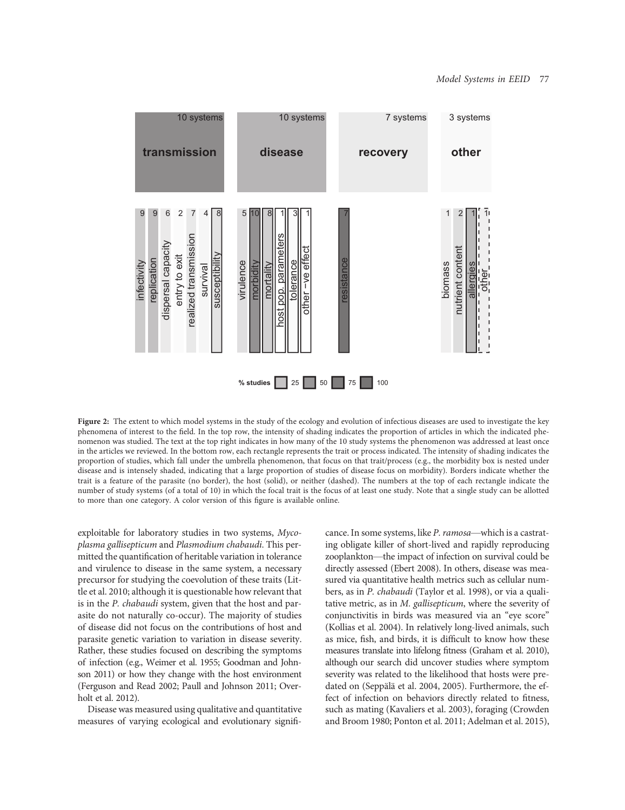

Figure 2: The extent to which model systems in the study of the ecology and evolution of infectious diseases are used to investigate the key phenomena of interest to the field. In the top row, the intensity of shading indicates the proportion of articles in which the indicated phenomenon was studied. The text at the top right indicates in how many of the 10 study systems the phenomenon was addressed at least once in the articles we reviewed. In the bottom row, each rectangle represents the trait or process indicated. The intensity of shading indicates the proportion of studies, which fall under the umbrella phenomenon, that focus on that trait/process (e.g., the morbidity box is nested under disease and is intensely shaded, indicating that a large proportion of studies of disease focus on morbidity). Borders indicate whether the trait is a feature of the parasite (no border), the host (solid), or neither (dashed). The numbers at the top of each rectangle indicate the number of study systems (of a total of 10) in which the focal trait is the focus of at least one study. Note that a single study can be allotted to more than one category. A color version of this figure is available online.

exploitable for laboratory studies in two systems, Mycoplasma gallisepticum and Plasmodium chabaudi. This permitted the quantification of heritable variation in tolerance and virulence to disease in the same system, a necessary precursor for studying the coevolution of these traits (Little et al. 2010; although it is questionable how relevant that is in the P. chabaudi system, given that the host and parasite do not naturally co-occur). The majority of studies of disease did not focus on the contributions of host and parasite genetic variation to variation in disease severity. Rather, these studies focused on describing the symptoms of infection (e.g., Weimer et al. 1955; Goodman and Johnson 2011) or how they change with the host environment (Ferguson and Read 2002; Paull and Johnson 2011; Overholt et al. 2012).

Disease was measured using qualitative and quantitative measures of varying ecological and evolutionary significance. In some systems, like P. ramosa—which is a castrating obligate killer of short-lived and rapidly reproducing zooplankton—the impact of infection on survival could be directly assessed (Ebert 2008). In others, disease was measured via quantitative health metrics such as cellular numbers, as in P. chabaudi (Taylor et al. 1998), or via a qualitative metric, as in M. gallisepticum, where the severity of conjunctivitis in birds was measured via an "eye score" (Kollias et al. 2004). In relatively long-lived animals, such as mice, fish, and birds, it is difficult to know how these measures translate into lifelong fitness (Graham et al. 2010), although our search did uncover studies where symptom severity was related to the likelihood that hosts were predated on (Seppälä et al. 2004, 2005). Furthermore, the effect of infection on behaviors directly related to fitness, such as mating (Kavaliers et al. 2003), foraging (Crowden and Broom 1980; Ponton et al. 2011; Adelman et al. 2015),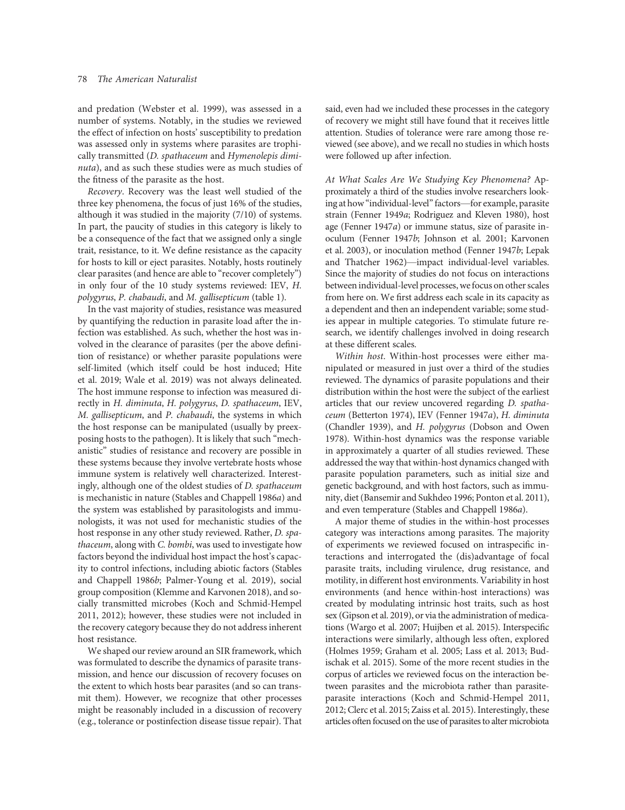and predation (Webster et al. 1999), was assessed in a number of systems. Notably, in the studies we reviewed the effect of infection on hosts' susceptibility to predation was assessed only in systems where parasites are trophically transmitted (D. spathaceum and Hymenolepis diminuta), and as such these studies were as much studies of the fitness of the parasite as the host.

Recovery. Recovery was the least well studied of the three key phenomena, the focus of just 16% of the studies, although it was studied in the majority (7/10) of systems. In part, the paucity of studies in this category is likely to be a consequence of the fact that we assigned only a single trait, resistance, to it. We define resistance as the capacity for hosts to kill or eject parasites. Notably, hosts routinely clear parasites (and hence are able to "recover completely") in only four of the 10 study systems reviewed: IEV, H. polygyrus, P. chabaudi, and M. gallisepticum (table 1).

In the vast majority of studies, resistance was measured by quantifying the reduction in parasite load after the infection was established. As such, whether the host was involved in the clearance of parasites (per the above definition of resistance) or whether parasite populations were self-limited (which itself could be host induced; Hite et al. 2019; Wale et al. 2019) was not always delineated. The host immune response to infection was measured directly in H. diminuta, H. polygyrus, D. spathaceum, IEV, M. gallisepticum, and P. chabaudi, the systems in which the host response can be manipulated (usually by preexposing hosts to the pathogen). It is likely that such "mechanistic" studies of resistance and recovery are possible in these systems because they involve vertebrate hosts whose immune system is relatively well characterized. Interestingly, although one of the oldest studies of D. spathaceum is mechanistic in nature (Stables and Chappell 1986a) and the system was established by parasitologists and immunologists, it was not used for mechanistic studies of the host response in any other study reviewed. Rather, D. spathaceum, along with C. bombi, was used to investigate how factors beyond the individual host impact the host's capacity to control infections, including abiotic factors (Stables and Chappell 1986b; Palmer-Young et al. 2019), social group composition (Klemme and Karvonen 2018), and socially transmitted microbes (Koch and Schmid-Hempel 2011, 2012); however, these studies were not included in the recovery category because they do not address inherent host resistance.

We shaped our review around an SIR framework, which was formulated to describe the dynamics of parasite transmission, and hence our discussion of recovery focuses on the extent to which hosts bear parasites (and so can transmit them). However, we recognize that other processes might be reasonably included in a discussion of recovery (e.g., tolerance or postinfection disease tissue repair). That said, even had we included these processes in the category of recovery we might still have found that it receives little attention. Studies of tolerance were rare among those reviewed (see above), and we recall no studies in which hosts were followed up after infection.

At What Scales Are We Studying Key Phenomena? Approximately a third of the studies involve researchers looking at how "individual-level" factors—for example, parasite strain (Fenner 1949a; Rodriguez and Kleven 1980), host age (Fenner 1947a) or immune status, size of parasite inoculum (Fenner 1947b; Johnson et al. 2001; Karvonen et al. 2003), or inoculation method (Fenner 1947b; Lepak and Thatcher 1962)—impact individual-level variables. Since the majority of studies do not focus on interactions between individual-level processes, wefocus on other scales from here on. We first address each scale in its capacity as a dependent and then an independent variable; some studies appear in multiple categories. To stimulate future research, we identify challenges involved in doing research at these different scales.

Within host. Within-host processes were either manipulated or measured in just over a third of the studies reviewed. The dynamics of parasite populations and their distribution within the host were the subject of the earliest articles that our review uncovered regarding D. spathaceum (Betterton 1974), IEV (Fenner 1947a), H. diminuta (Chandler 1939), and H. polygyrus (Dobson and Owen 1978). Within-host dynamics was the response variable in approximately a quarter of all studies reviewed. These addressed the way that within-host dynamics changed with parasite population parameters, such as initial size and genetic background, and with host factors, such as immunity, diet (Bansemir and Sukhdeo 1996; Ponton et al. 2011), and even temperature (Stables and Chappell 1986a).

A major theme of studies in the within-host processes category was interactions among parasites. The majority of experiments we reviewed focused on intraspecific interactions and interrogated the (dis)advantage of focal parasite traits, including virulence, drug resistance, and motility, in different host environments. Variability in host environments (and hence within-host interactions) was created by modulating intrinsic host traits, such as host sex (Gipson et al. 2019), or via the administration of medications (Wargo et al. 2007; Huijben et al. 2015). Interspecific interactions were similarly, although less often, explored (Holmes 1959; Graham et al. 2005; Lass et al. 2013; Budischak et al. 2015). Some of the more recent studies in the corpus of articles we reviewed focus on the interaction between parasites and the microbiota rather than parasiteparasite interactions (Koch and Schmid-Hempel 2011, 2012; Clerc et al. 2015; Zaiss et al. 2015). Interestingly, these articles often focused on the use of parasites to alter microbiota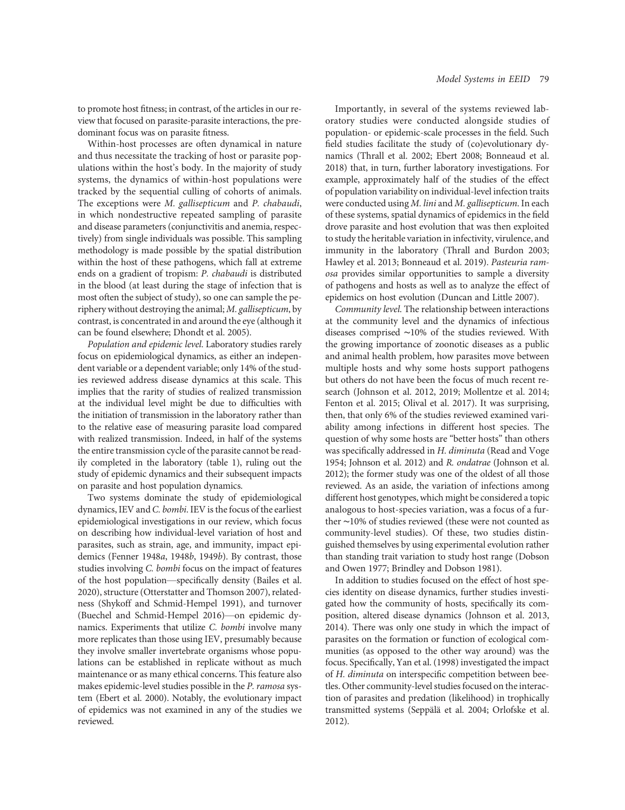Within-host processes are often dynamical in nature and thus necessitate the tracking of host or parasite populations within the host's body. In the majority of study systems, the dynamics of within-host populations were tracked by the sequential culling of cohorts of animals. The exceptions were M. gallisepticum and P. chabaudi, in which nondestructive repeated sampling of parasite and disease parameters (conjunctivitis and anemia, respectively) from single individuals was possible. This sampling methodology is made possible by the spatial distribution within the host of these pathogens, which fall at extreme ends on a gradient of tropism: P. chabaudi is distributed in the blood (at least during the stage of infection that is most often the subject of study), so one can sample the periphery without destroying the animal; M. gallisepticum, by contrast, is concentrated in and around the eye (although it can be found elsewhere; Dhondt et al. 2005).

Population and epidemic level. Laboratory studies rarely focus on epidemiological dynamics, as either an independent variable or a dependent variable; only 14% of the studies reviewed address disease dynamics at this scale. This implies that the rarity of studies of realized transmission at the individual level might be due to difficulties with the initiation of transmission in the laboratory rather than to the relative ease of measuring parasite load compared with realized transmission. Indeed, in half of the systems the entire transmission cycle of the parasite cannot be readily completed in the laboratory (table 1), ruling out the study of epidemic dynamics and their subsequent impacts on parasite and host population dynamics.

Two systems dominate the study of epidemiological dynamics, IEV and C. bombi. IEV is the focus of the earliest epidemiological investigations in our review, which focus on describing how individual-level variation of host and parasites, such as strain, age, and immunity, impact epidemics (Fenner 1948a, 1948b, 1949b). By contrast, those studies involving C. bombi focus on the impact of features of the host population—specifically density (Bailes et al. 2020), structure (Otterstatter and Thomson 2007), relatedness (Shykoff and Schmid-Hempel 1991), and turnover (Buechel and Schmid-Hempel 2016)—on epidemic dynamics. Experiments that utilize C. bombi involve many more replicates than those using IEV, presumably because they involve smaller invertebrate organisms whose populations can be established in replicate without as much maintenance or as many ethical concerns. This feature also makes epidemic-level studies possible in the P. ramosa system (Ebert et al. 2000). Notably, the evolutionary impact of epidemics was not examined in any of the studies we reviewed.

Importantly, in several of the systems reviewed laboratory studies were conducted alongside studies of population- or epidemic-scale processes in the field. Such field studies facilitate the study of (co)evolutionary dynamics (Thrall et al. 2002; Ebert 2008; Bonneaud et al. 2018) that, in turn, further laboratory investigations. For example, approximately half of the studies of the effect of population variability on individual-level infection traits were conducted using M. lini and M. gallisepticum. In each of these systems, spatial dynamics of epidemics in the field drove parasite and host evolution that was then exploited to study the heritable variation in infectivity, virulence, and immunity in the laboratory (Thrall and Burdon 2003; Hawley et al. 2013; Bonneaud et al. 2019). Pasteuria ramosa provides similar opportunities to sample a diversity of pathogens and hosts as well as to analyze the effect of epidemics on host evolution (Duncan and Little 2007).

Community level. The relationship between interactions at the community level and the dynamics of infectious diseases comprised ∼10% of the studies reviewed. With the growing importance of zoonotic diseases as a public and animal health problem, how parasites move between multiple hosts and why some hosts support pathogens but others do not have been the focus of much recent research (Johnson et al. 2012, 2019; Mollentze et al. 2014; Fenton et al. 2015; Olival et al. 2017). It was surprising, then, that only 6% of the studies reviewed examined variability among infections in different host species. The question of why some hosts are "better hosts" than others was specifically addressed in H. diminuta (Read and Voge 1954; Johnson et al. 2012) and R. ondatrae (Johnson et al. 2012); the former study was one of the oldest of all those reviewed. As an aside, the variation of infections among different host genotypes, which might be considered a topic analogous to host-species variation, was a focus of a further ∼10% of studies reviewed (these were not counted as community-level studies). Of these, two studies distinguished themselves by using experimental evolution rather than standing trait variation to study host range (Dobson and Owen 1977; Brindley and Dobson 1981).

In addition to studies focused on the effect of host species identity on disease dynamics, further studies investigated how the community of hosts, specifically its composition, altered disease dynamics (Johnson et al. 2013, 2014). There was only one study in which the impact of parasites on the formation or function of ecological communities (as opposed to the other way around) was the focus. Specifically, Yan et al. (1998) investigated the impact of H. diminuta on interspecific competition between beetles. Other community-level studies focused on the interaction of parasites and predation (likelihood) in trophically transmitted systems (Seppälä et al. 2004; Orlofske et al. 2012).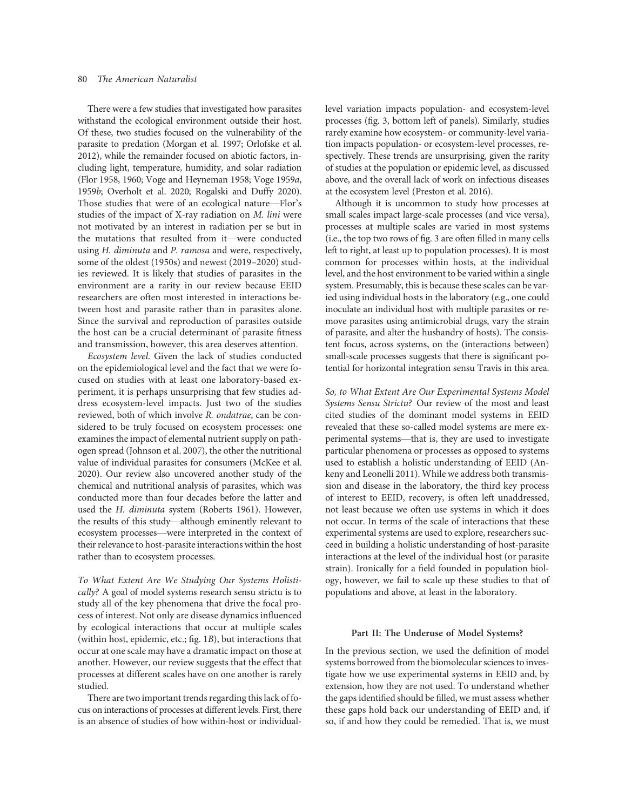There were a few studies that investigated how parasites withstand the ecological environment outside their host. Of these, two studies focused on the vulnerability of the parasite to predation (Morgan et al. 1997; Orlofske et al. 2012), while the remainder focused on abiotic factors, including light, temperature, humidity, and solar radiation (Flor 1958, 1960; Voge and Heyneman 1958; Voge 1959a, 1959b; Overholt et al. 2020; Rogalski and Duffy 2020). Those studies that were of an ecological nature—Flor's studies of the impact of X-ray radiation on M. lini were not motivated by an interest in radiation per se but in the mutations that resulted from it—were conducted using H. diminuta and P. ramosa and were, respectively, some of the oldest (1950s) and newest (2019–2020) studies reviewed. It is likely that studies of parasites in the environment are a rarity in our review because EEID researchers are often most interested in interactions between host and parasite rather than in parasites alone. Since the survival and reproduction of parasites outside the host can be a crucial determinant of parasite fitness and transmission, however, this area deserves attention.

Ecosystem level. Given the lack of studies conducted on the epidemiological level and the fact that we were focused on studies with at least one laboratory-based experiment, it is perhaps unsurprising that few studies address ecosystem-level impacts. Just two of the studies reviewed, both of which involve R. ondatrae, can be considered to be truly focused on ecosystem processes: one examines the impact of elemental nutrient supply on pathogen spread (Johnson et al. 2007), the other the nutritional value of individual parasites for consumers (McKee et al. 2020). Our review also uncovered another study of the chemical and nutritional analysis of parasites, which was conducted more than four decades before the latter and used the H. diminuta system (Roberts 1961). However, the results of this study—although eminently relevant to ecosystem processes—were interpreted in the context of their relevance to host-parasite interactions within the host rather than to ecosystem processes.

To What Extent Are We Studying Our Systems Holistically? A goal of model systems research sensu strictu is to study all of the key phenomena that drive the focal process of interest. Not only are disease dynamics influenced by ecological interactions that occur at multiple scales (within host, epidemic, etc.; fig. 1B), but interactions that occur at one scale may have a dramatic impact on those at another. However, our review suggests that the effect that processes at different scales have on one another is rarely studied.

There are two important trends regarding this lack of focus on interactions of processes at different levels. First, there is an absence of studies of how within-host or individuallevel variation impacts population- and ecosystem-level processes (fig. 3, bottom left of panels). Similarly, studies rarely examine how ecosystem- or community-level variation impacts population- or ecosystem-level processes, respectively. These trends are unsurprising, given the rarity of studies at the population or epidemic level, as discussed above, and the overall lack of work on infectious diseases at the ecosystem level (Preston et al. 2016).

Although it is uncommon to study how processes at small scales impact large-scale processes (and vice versa), processes at multiple scales are varied in most systems (i.e., the top two rows of fig. 3 are often filled in many cells left to right, at least up to population processes). It is most common for processes within hosts, at the individual level, and the host environment to be varied within a single system. Presumably, this is because these scales can be varied using individual hosts in the laboratory (e.g., one could inoculate an individual host with multiple parasites or remove parasites using antimicrobial drugs, vary the strain of parasite, and alter the husbandry of hosts). The consistent focus, across systems, on the (interactions between) small-scale processes suggests that there is significant potential for horizontal integration sensu Travis in this area.

So, to What Extent Are Our Experimental Systems Model Systems Sensu Strictu? Our review of the most and least cited studies of the dominant model systems in EEID revealed that these so-called model systems are mere experimental systems—that is, they are used to investigate particular phenomena or processes as opposed to systems used to establish a holistic understanding of EEID (Ankeny and Leonelli 2011). While we address both transmission and disease in the laboratory, the third key process of interest to EEID, recovery, is often left unaddressed, not least because we often use systems in which it does not occur. In terms of the scale of interactions that these experimental systems are used to explore, researchers succeed in building a holistic understanding of host-parasite interactions at the level of the individual host (or parasite strain). Ironically for a field founded in population biology, however, we fail to scale up these studies to that of populations and above, at least in the laboratory.

## Part II: The Underuse of Model Systems?

In the previous section, we used the definition of model systems borrowed from the biomolecular sciences to investigate how we use experimental systems in EEID and, by extension, how they are not used. To understand whether the gaps identified should be filled, we must assess whether these gaps hold back our understanding of EEID and, if so, if and how they could be remedied. That is, we must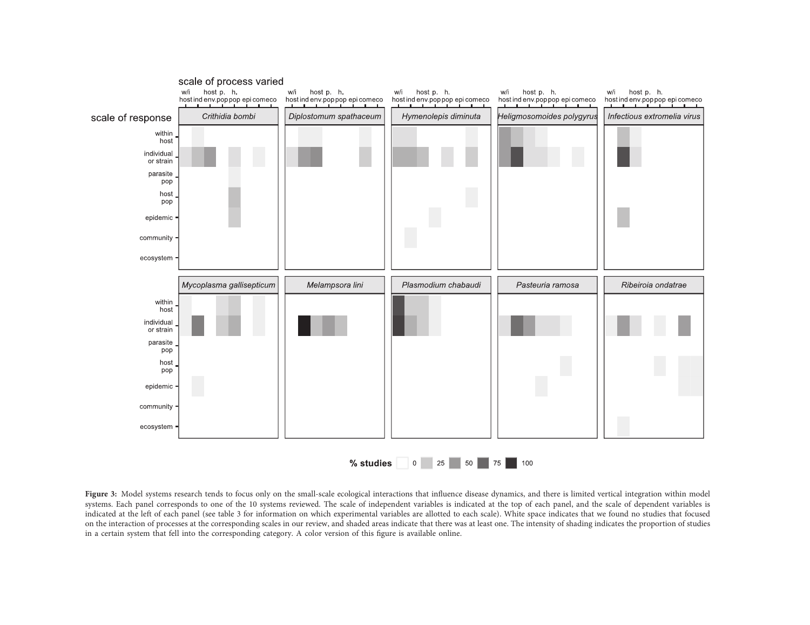

Figure 3: Model systems research tends to focus only on the small-scale ecological interactions that influence disease dynamics, and there is limited vertical integration within model systems. Each panel corresponds to one of the <sup>10</sup> systems reviewed. The scale of independent variables is indicated at the top of each panel, and the scale of dependent variables is indicated at the left of each panel (see table <sup>3</sup> for information on which experimental variables are allotted to each scale). White space indicates that we found no studies that focused on the interaction of processes at the corresponding scales in our review, and shaded areas indicate that there was at least one. The intensity of shading indicates the proportion of studies in <sup>a</sup> certain system that fell into the corresponding category. <sup>A</sup> color version of this figure is available online.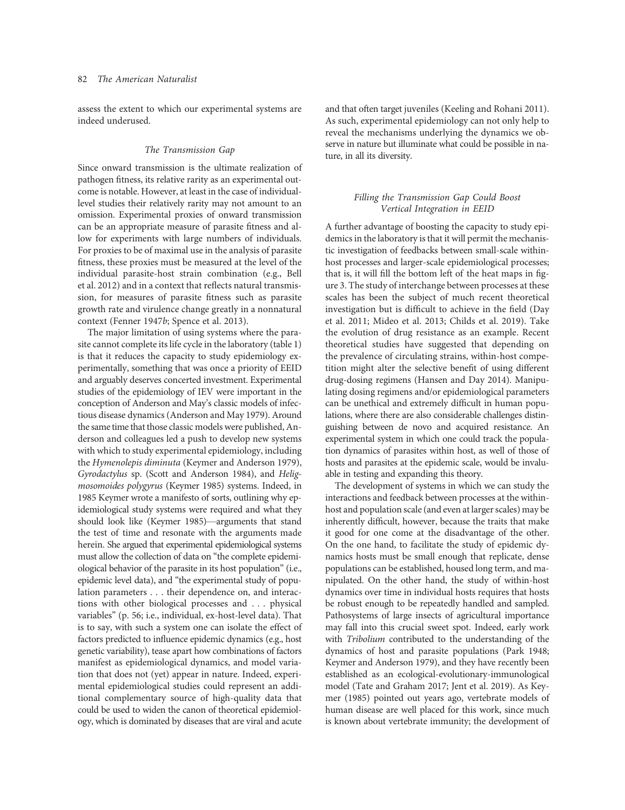assess the extent to which our experimental systems are indeed underused.

## The Transmission Gap

Since onward transmission is the ultimate realization of pathogen fitness, its relative rarity as an experimental outcome is notable. However, at least in the case of individuallevel studies their relatively rarity may not amount to an omission. Experimental proxies of onward transmission can be an appropriate measure of parasite fitness and allow for experiments with large numbers of individuals. For proxies to be of maximal use in the analysis of parasite fitness, these proxies must be measured at the level of the individual parasite-host strain combination (e.g., Bell et al. 2012) and in a context that reflects natural transmission, for measures of parasite fitness such as parasite growth rate and virulence change greatly in a nonnatural context (Fenner 1947b; Spence et al. 2013).

The major limitation of using systems where the parasite cannot complete its life cycle in the laboratory (table 1) is that it reduces the capacity to study epidemiology experimentally, something that was once a priority of EEID and arguably deserves concerted investment. Experimental studies of the epidemiology of IEV were important in the conception of Anderson and May's classic models of infectious disease dynamics (Anderson and May 1979). Around the same time that those classic models were published, Anderson and colleagues led a push to develop new systems with which to study experimental epidemiology, including the Hymenolepis diminuta (Keymer and Anderson 1979), Gyrodactylus sp. (Scott and Anderson 1984), and Heligmosomoides polygyrus (Keymer 1985) systems. Indeed, in 1985 Keymer wrote a manifesto of sorts, outlining why epidemiological study systems were required and what they should look like (Keymer 1985)—arguments that stand the test of time and resonate with the arguments made herein. She argued that experimental epidemiological systems must allow the collection of data on "the complete epidemiological behavior of the parasite in its host population" (i.e., epidemic level data), and "the experimental study of population parameters . . . their dependence on, and interactions with other biological processes and . . . physical variables" (p. 56; i.e., individual, ex-host-level data). That is to say, with such a system one can isolate the effect of factors predicted to influence epidemic dynamics (e.g., host genetic variability), tease apart how combinations of factors manifest as epidemiological dynamics, and model variation that does not (yet) appear in nature. Indeed, experimental epidemiological studies could represent an additional complementary source of high-quality data that could be used to widen the canon of theoretical epidemiology, which is dominated by diseases that are viral and acute

and that often target juveniles (Keeling and Rohani 2011). As such, experimental epidemiology can not only help to reveal the mechanisms underlying the dynamics we observe in nature but illuminate what could be possible in nature, in all its diversity.

# Filling the Transmission Gap Could Boost Vertical Integration in EEID

A further advantage of boosting the capacity to study epidemics in the laboratory is that it will permit the mechanistic investigation of feedbacks between small-scale withinhost processes and larger-scale epidemiological processes; that is, it will fill the bottom left of the heat maps in figure 3. The study of interchange between processes at these scales has been the subject of much recent theoretical investigation but is difficult to achieve in the field (Day et al. 2011; Mideo et al. 2013; Childs et al. 2019). Take the evolution of drug resistance as an example. Recent theoretical studies have suggested that depending on the prevalence of circulating strains, within-host competition might alter the selective benefit of using different drug-dosing regimens (Hansen and Day 2014). Manipulating dosing regimens and/or epidemiological parameters can be unethical and extremely difficult in human populations, where there are also considerable challenges distinguishing between de novo and acquired resistance. An experimental system in which one could track the population dynamics of parasites within host, as well of those of hosts and parasites at the epidemic scale, would be invaluable in testing and expanding this theory.

The development of systems in which we can study the interactions and feedback between processes at the withinhost and population scale (and even at larger scales) may be inherently difficult, however, because the traits that make it good for one come at the disadvantage of the other. On the one hand, to facilitate the study of epidemic dynamics hosts must be small enough that replicate, dense populations can be established, housed long term, and manipulated. On the other hand, the study of within-host dynamics over time in individual hosts requires that hosts be robust enough to be repeatedly handled and sampled. Pathosystems of large insects of agricultural importance may fall into this crucial sweet spot. Indeed, early work with Tribolium contributed to the understanding of the dynamics of host and parasite populations (Park 1948; Keymer and Anderson 1979), and they have recently been established as an ecological-evolutionary-immunological model (Tate and Graham 2017; Jent et al. 2019). As Keymer (1985) pointed out years ago, vertebrate models of human disease are well placed for this work, since much is known about vertebrate immunity; the development of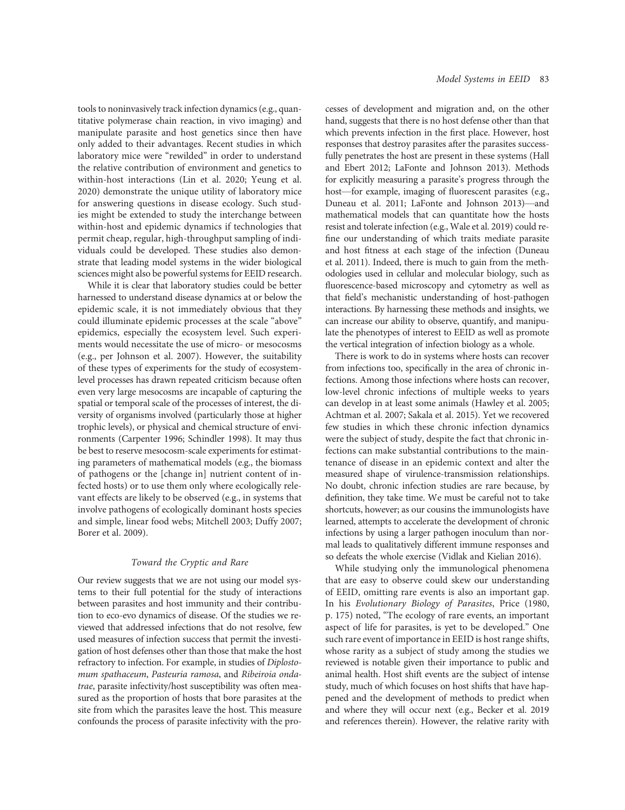tools to noninvasively track infection dynamics (e.g., quantitative polymerase chain reaction, in vivo imaging) and manipulate parasite and host genetics since then have only added to their advantages. Recent studies in which laboratory mice were "rewilded" in order to understand the relative contribution of environment and genetics to within-host interactions (Lin et al. 2020; Yeung et al. 2020) demonstrate the unique utility of laboratory mice for answering questions in disease ecology. Such studies might be extended to study the interchange between within-host and epidemic dynamics if technologies that permit cheap, regular, high-throughput sampling of individuals could be developed. These studies also demonstrate that leading model systems in the wider biological sciences might also be powerful systems for EEID research.

While it is clear that laboratory studies could be better harnessed to understand disease dynamics at or below the epidemic scale, it is not immediately obvious that they could illuminate epidemic processes at the scale "above" epidemics, especially the ecosystem level. Such experiments would necessitate the use of micro- or mesocosms (e.g., per Johnson et al. 2007). However, the suitability of these types of experiments for the study of ecosystemlevel processes has drawn repeated criticism because often even very large mesocosms are incapable of capturing the spatial or temporal scale of the processes of interest, the diversity of organisms involved (particularly those at higher trophic levels), or physical and chemical structure of environments (Carpenter 1996; Schindler 1998). It may thus be best to reserve mesocosm-scale experiments for estimating parameters of mathematical models (e.g., the biomass of pathogens or the [change in] nutrient content of infected hosts) or to use them only where ecologically relevant effects are likely to be observed (e.g., in systems that involve pathogens of ecologically dominant hosts species and simple, linear food webs; Mitchell 2003; Duffy 2007; Borer et al. 2009).

# Toward the Cryptic and Rare

Our review suggests that we are not using our model systems to their full potential for the study of interactions between parasites and host immunity and their contribution to eco-evo dynamics of disease. Of the studies we reviewed that addressed infections that do not resolve, few used measures of infection success that permit the investigation of host defenses other than those that make the host refractory to infection. For example, in studies of Diplostomum spathaceum, Pasteuria ramosa, and Ribeiroia ondatrae, parasite infectivity/host susceptibility was often measured as the proportion of hosts that bore parasites at the site from which the parasites leave the host. This measure confounds the process of parasite infectivity with the processes of development and migration and, on the other hand, suggests that there is no host defense other than that which prevents infection in the first place. However, host responses that destroy parasites after the parasites successfully penetrates the host are present in these systems (Hall and Ebert 2012; LaFonte and Johnson 2013). Methods for explicitly measuring a parasite's progress through the host—for example, imaging of fluorescent parasites (e.g., Duneau et al. 2011; LaFonte and Johnson 2013)—and mathematical models that can quantitate how the hosts resist and tolerate infection (e.g., Wale et al. 2019) could refine our understanding of which traits mediate parasite and host fitness at each stage of the infection (Duneau et al. 2011). Indeed, there is much to gain from the methodologies used in cellular and molecular biology, such as fluorescence-based microscopy and cytometry as well as that field's mechanistic understanding of host-pathogen interactions. By harnessing these methods and insights, we can increase our ability to observe, quantify, and manipulate the phenotypes of interest to EEID as well as promote the vertical integration of infection biology as a whole.

There is work to do in systems where hosts can recover from infections too, specifically in the area of chronic infections. Among those infections where hosts can recover, low-level chronic infections of multiple weeks to years can develop in at least some animals (Hawley et al. 2005; Achtman et al. 2007; Sakala et al. 2015). Yet we recovered few studies in which these chronic infection dynamics were the subject of study, despite the fact that chronic infections can make substantial contributions to the maintenance of disease in an epidemic context and alter the measured shape of virulence-transmission relationships. No doubt, chronic infection studies are rare because, by definition, they take time. We must be careful not to take shortcuts, however; as our cousins the immunologists have learned, attempts to accelerate the development of chronic infections by using a larger pathogen inoculum than normal leads to qualitatively different immune responses and so defeats the whole exercise (Vidlak and Kielian 2016).

While studying only the immunological phenomena that are easy to observe could skew our understanding of EEID, omitting rare events is also an important gap. In his Evolutionary Biology of Parasites, Price (1980, p. 175) noted, "The ecology of rare events, an important aspect of life for parasites, is yet to be developed." One such rare event of importance in EEID is host range shifts, whose rarity as a subject of study among the studies we reviewed is notable given their importance to public and animal health. Host shift events are the subject of intense study, much of which focuses on host shifts that have happened and the development of methods to predict when and where they will occur next (e.g., Becker et al. 2019 and references therein). However, the relative rarity with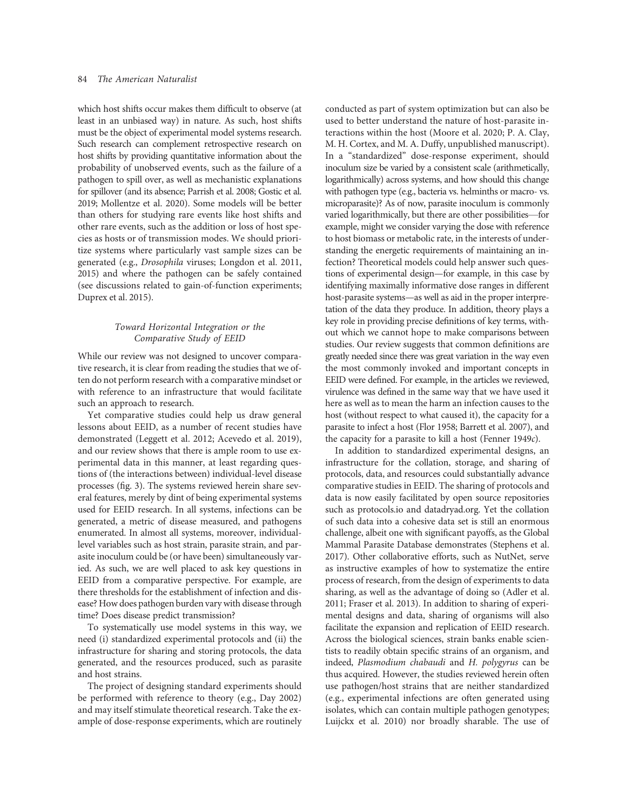which host shifts occur makes them difficult to observe (at least in an unbiased way) in nature. As such, host shifts must be the object of experimental model systems research. Such research can complement retrospective research on host shifts by providing quantitative information about the probability of unobserved events, such as the failure of a pathogen to spill over, as well as mechanistic explanations for spillover (and its absence; Parrish et al. 2008; Gostic et al. 2019; Mollentze et al. 2020). Some models will be better than others for studying rare events like host shifts and other rare events, such as the addition or loss of host species as hosts or of transmission modes. We should prioritize systems where particularly vast sample sizes can be generated (e.g., Drosophila viruses; Longdon et al. 2011, 2015) and where the pathogen can be safely contained (see discussions related to gain-of-function experiments; Duprex et al. 2015).

# Toward Horizontal Integration or the Comparative Study of EEID

While our review was not designed to uncover comparative research, it is clear from reading the studies that we often do not perform research with a comparative mindset or with reference to an infrastructure that would facilitate such an approach to research.

Yet comparative studies could help us draw general lessons about EEID, as a number of recent studies have demonstrated (Leggett et al. 2012; Acevedo et al. 2019), and our review shows that there is ample room to use experimental data in this manner, at least regarding questions of (the interactions between) individual-level disease processes (fig. 3). The systems reviewed herein share several features, merely by dint of being experimental systems used for EEID research. In all systems, infections can be generated, a metric of disease measured, and pathogens enumerated. In almost all systems, moreover, individuallevel variables such as host strain, parasite strain, and parasite inoculum could be (or have been) simultaneously varied. As such, we are well placed to ask key questions in EEID from a comparative perspective. For example, are there thresholds for the establishment of infection and disease? How does pathogen burden vary with disease through time? Does disease predict transmission?

To systematically use model systems in this way, we need (i) standardized experimental protocols and (ii) the infrastructure for sharing and storing protocols, the data generated, and the resources produced, such as parasite and host strains.

The project of designing standard experiments should be performed with reference to theory (e.g., Day 2002) and may itself stimulate theoretical research. Take the example of dose-response experiments, which are routinely conducted as part of system optimization but can also be used to better understand the nature of host-parasite interactions within the host (Moore et al. 2020; P. A. Clay, M. H. Cortex, and M. A. Duffy, unpublished manuscript). In a "standardized" dose-response experiment, should inoculum size be varied by a consistent scale (arithmetically, logarithmically) across systems, and how should this change with pathogen type (e.g., bacteria vs. helminths or macro- vs. microparasite)? As of now, parasite inoculum is commonly varied logarithmically, but there are other possibilities—for example, might we consider varying the dose with reference to host biomass or metabolic rate, in the interests of understanding the energetic requirements of maintaining an infection? Theoretical models could help answer such questions of experimental design—for example, in this case by identifying maximally informative dose ranges in different host-parasite systems—as well as aid in the proper interpretation of the data they produce. In addition, theory plays a key role in providing precise definitions of key terms, without which we cannot hope to make comparisons between studies. Our review suggests that common definitions are greatly needed since there was great variation in the way even the most commonly invoked and important concepts in EEID were defined. For example, in the articles we reviewed, virulence was defined in the same way that we have used it here as well as to mean the harm an infection causes to the host (without respect to what caused it), the capacity for a parasite to infect a host (Flor 1958; Barrett et al. 2007), and the capacity for a parasite to kill a host (Fenner 1949c).

In addition to standardized experimental designs, an infrastructure for the collation, storage, and sharing of protocols, data, and resources could substantially advance comparative studies in EEID. The sharing of protocols and data is now easily facilitated by open source repositories such as protocols.io and datadryad.org. Yet the collation of such data into a cohesive data set is still an enormous challenge, albeit one with significant payoffs, as the Global Mammal Parasite Database demonstrates (Stephens et al. 2017). Other collaborative efforts, such as NutNet, serve as instructive examples of how to systematize the entire process of research, from the design of experiments to data sharing, as well as the advantage of doing so (Adler et al. 2011; Fraser et al. 2013). In addition to sharing of experimental designs and data, sharing of organisms will also facilitate the expansion and replication of EEID research. Across the biological sciences, strain banks enable scientists to readily obtain specific strains of an organism, and indeed, Plasmodium chabaudi and H. polygyrus can be thus acquired. However, the studies reviewed herein often use pathogen/host strains that are neither standardized (e.g., experimental infections are often generated using isolates, which can contain multiple pathogen genotypes; Luijckx et al. 2010) nor broadly sharable. The use of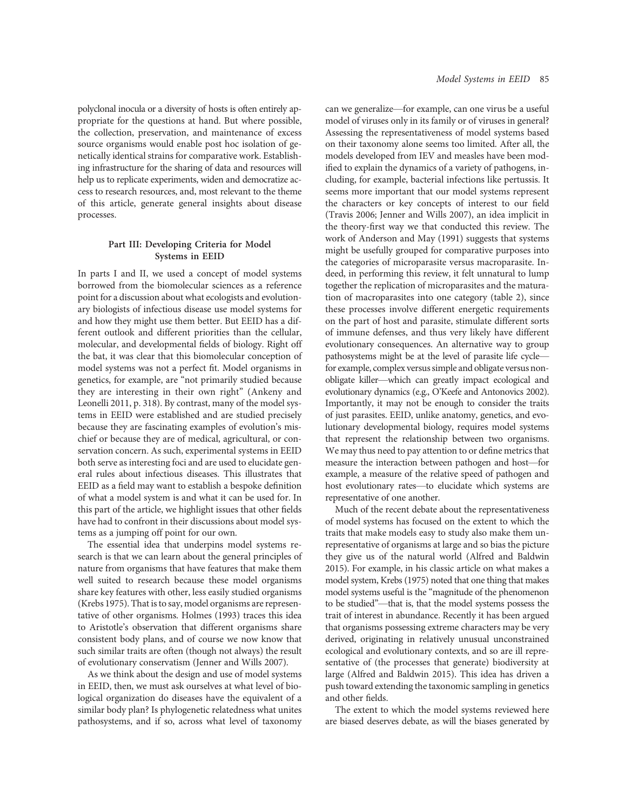polyclonal inocula or a diversity of hosts is often entirely appropriate for the questions at hand. But where possible, the collection, preservation, and maintenance of excess source organisms would enable post hoc isolation of genetically identical strains for comparative work. Establishing infrastructure for the sharing of data and resources will help us to replicate experiments, widen and democratize access to research resources, and, most relevant to the theme of this article, generate general insights about disease processes.

# Part III: Developing Criteria for Model Systems in EEID

In parts I and II, we used a concept of model systems borrowed from the biomolecular sciences as a reference point for a discussion about what ecologists and evolutionary biologists of infectious disease use model systems for and how they might use them better. But EEID has a different outlook and different priorities than the cellular, molecular, and developmental fields of biology. Right off the bat, it was clear that this biomolecular conception of model systems was not a perfect fit. Model organisms in genetics, for example, are "not primarily studied because they are interesting in their own right" (Ankeny and Leonelli 2011, p. 318). By contrast, many of the model systems in EEID were established and are studied precisely because they are fascinating examples of evolution's mischief or because they are of medical, agricultural, or conservation concern. As such, experimental systems in EEID both serve as interesting foci and are used to elucidate general rules about infectious diseases. This illustrates that EEID as a field may want to establish a bespoke definition of what a model system is and what it can be used for. In this part of the article, we highlight issues that other fields have had to confront in their discussions about model systems as a jumping off point for our own.

The essential idea that underpins model systems research is that we can learn about the general principles of nature from organisms that have features that make them well suited to research because these model organisms share key features with other, less easily studied organisms (Krebs 1975). That is to say, model organisms are representative of other organisms. Holmes (1993) traces this idea to Aristotle's observation that different organisms share consistent body plans, and of course we now know that such similar traits are often (though not always) the result of evolutionary conservatism (Jenner and Wills 2007).

As we think about the design and use of model systems in EEID, then, we must ask ourselves at what level of biological organization do diseases have the equivalent of a similar body plan? Is phylogenetic relatedness what unites pathosystems, and if so, across what level of taxonomy can we generalize—for example, can one virus be a useful model of viruses only in its family or of viruses in general? Assessing the representativeness of model systems based on their taxonomy alone seems too limited. After all, the models developed from IEV and measles have been modified to explain the dynamics of a variety of pathogens, including, for example, bacterial infections like pertussis. It seems more important that our model systems represent the characters or key concepts of interest to our field (Travis 2006; Jenner and Wills 2007), an idea implicit in the theory-first way we that conducted this review. The work of Anderson and May (1991) suggests that systems might be usefully grouped for comparative purposes into the categories of microparasite versus macroparasite. Indeed, in performing this review, it felt unnatural to lump together the replication of microparasites and the maturation of macroparasites into one category (table 2), since these processes involve different energetic requirements on the part of host and parasite, stimulate different sorts of immune defenses, and thus very likely have different evolutionary consequences. An alternative way to group pathosystems might be at the level of parasite life cycle for example, complex versus simple and obligate versus nonobligate killer—which can greatly impact ecological and evolutionary dynamics (e.g., O'Keefe and Antonovics 2002). Importantly, it may not be enough to consider the traits of just parasites. EEID, unlike anatomy, genetics, and evolutionary developmental biology, requires model systems that represent the relationship between two organisms. We may thus need to pay attention to or define metrics that measure the interaction between pathogen and host—for example, a measure of the relative speed of pathogen and host evolutionary rates—to elucidate which systems are representative of one another.

Much of the recent debate about the representativeness of model systems has focused on the extent to which the traits that make models easy to study also make them unrepresentative of organisms at large and so bias the picture they give us of the natural world (Alfred and Baldwin 2015). For example, in his classic article on what makes a model system, Krebs (1975) noted that one thing that makes model systems useful is the "magnitude of the phenomenon to be studied"—that is, that the model systems possess the trait of interest in abundance. Recently it has been argued that organisms possessing extreme characters may be very derived, originating in relatively unusual unconstrained ecological and evolutionary contexts, and so are ill representative of (the processes that generate) biodiversity at large (Alfred and Baldwin 2015). This idea has driven a push toward extending the taxonomic sampling in genetics and other fields.

The extent to which the model systems reviewed here are biased deserves debate, as will the biases generated by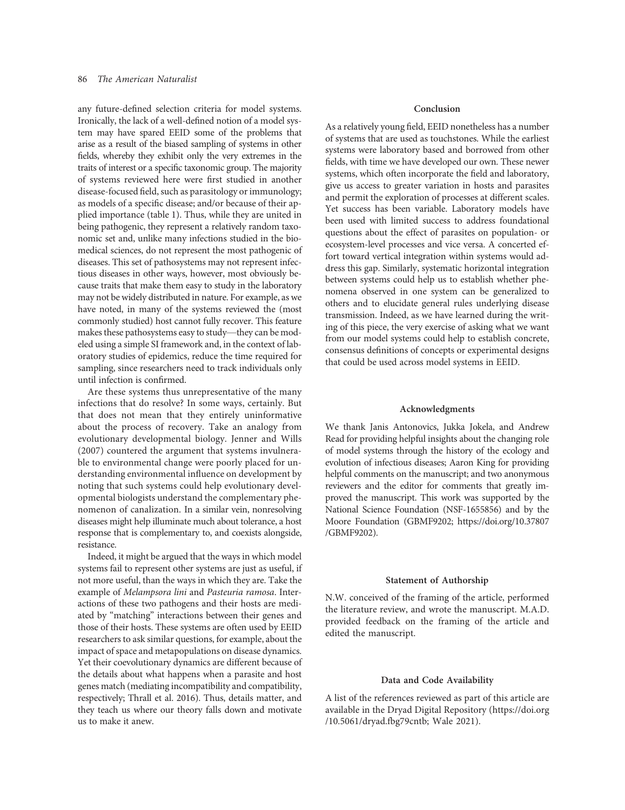any future-defined selection criteria for model systems. Ironically, the lack of a well-defined notion of a model system may have spared EEID some of the problems that arise as a result of the biased sampling of systems in other fields, whereby they exhibit only the very extremes in the traits of interest or a specific taxonomic group. The majority of systems reviewed here were first studied in another disease-focused field, such as parasitology or immunology; as models of a specific disease; and/or because of their applied importance (table 1). Thus, while they are united in being pathogenic, they represent a relatively random taxonomic set and, unlike many infections studied in the biomedical sciences, do not represent the most pathogenic of diseases. This set of pathosystems may not represent infectious diseases in other ways, however, most obviously because traits that make them easy to study in the laboratory may not be widely distributed in nature. For example, as we have noted, in many of the systems reviewed the (most commonly studied) host cannot fully recover. This feature makes these pathosystems easy to study—they can be modeled using a simple SI framework and, in the context of laboratory studies of epidemics, reduce the time required for sampling, since researchers need to track individuals only until infection is confirmed.

Are these systems thus unrepresentative of the many infections that do resolve? In some ways, certainly. But that does not mean that they entirely uninformative about the process of recovery. Take an analogy from evolutionary developmental biology. Jenner and Wills (2007) countered the argument that systems invulnerable to environmental change were poorly placed for understanding environmental influence on development by noting that such systems could help evolutionary developmental biologists understand the complementary phenomenon of canalization. In a similar vein, nonresolving diseases might help illuminate much about tolerance, a host response that is complementary to, and coexists alongside, resistance.

Indeed, it might be argued that the ways in which model systems fail to represent other systems are just as useful, if not more useful, than the ways in which they are. Take the example of Melampsora lini and Pasteuria ramosa. Interactions of these two pathogens and their hosts are mediated by "matching" interactions between their genes and those of their hosts. These systems are often used by EEID researchers to ask similar questions, for example, about the impact of space and metapopulations on disease dynamics. Yet their coevolutionary dynamics are different because of the details about what happens when a parasite and host genes match (mediating incompatibility and compatibility, respectively; Thrall et al. 2016). Thus, details matter, and they teach us where our theory falls down and motivate us to make it anew.

## Conclusion

As a relatively young field, EEID nonetheless has a number of systems that are used as touchstones. While the earliest systems were laboratory based and borrowed from other fields, with time we have developed our own. These newer systems, which often incorporate the field and laboratory, give us access to greater variation in hosts and parasites and permit the exploration of processes at different scales. Yet success has been variable. Laboratory models have been used with limited success to address foundational questions about the effect of parasites on population- or ecosystem-level processes and vice versa. A concerted effort toward vertical integration within systems would address this gap. Similarly, systematic horizontal integration between systems could help us to establish whether phenomena observed in one system can be generalized to others and to elucidate general rules underlying disease transmission. Indeed, as we have learned during the writing of this piece, the very exercise of asking what we want from our model systems could help to establish concrete, consensus definitions of concepts or experimental designs that could be used across model systems in EEID.

## Acknowledgments

We thank Janis Antonovics, Jukka Jokela, and Andrew Read for providing helpful insights about the changing role of model systems through the history of the ecology and evolution of infectious diseases; Aaron King for providing helpful comments on the manuscript; and two anonymous reviewers and the editor for comments that greatly improved the manuscript. This work was supported by the National Science Foundation (NSF-1655856) and by the Moore Foundation (GBMF9202; https://doi.org/10.37807 /GBMF9202).

## Statement of Authorship

N.W. conceived of the framing of the article, performed the literature review, and wrote the manuscript. M.A.D. provided feedback on the framing of the article and edited the manuscript.

## Data and Code Availability

A list of the references reviewed as part of this article are available in the Dryad Digital Repository (https://doi.org /10.5061/dryad.fbg79cntb; Wale 2021).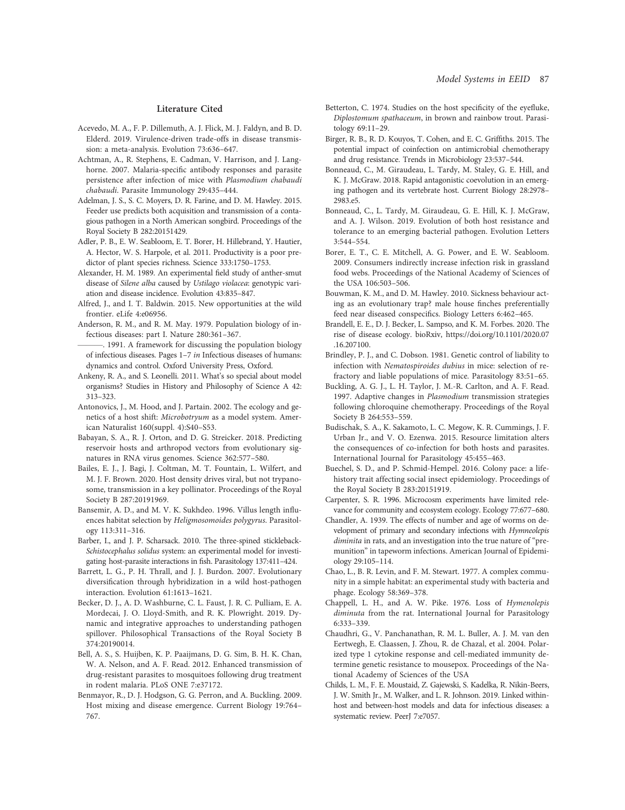#### Literature Cited

- Acevedo, M. A., F. P. Dillemuth, A. J. Flick, M. J. Faldyn, and B. D. Elderd. 2019. Virulence-driven trade-offs in disease transmission: a meta-analysis. Evolution 73:636–647.
- Achtman, A., R. Stephens, E. Cadman, V. Harrison, and J. Langhorne. 2007. Malaria-specific antibody responses and parasite persistence after infection of mice with Plasmodium chabaudi chabaudi. Parasite Immunology 29:435–444.
- Adelman, J. S., S. C. Moyers, D. R. Farine, and D. M. Hawley. 2015. Feeder use predicts both acquisition and transmission of a contagious pathogen in a North American songbird. Proceedings of the Royal Society B 282:20151429.
- Adler, P. B., E. W. Seabloom, E. T. Borer, H. Hillebrand, Y. Hautier, A. Hector, W. S. Harpole, et al. 2011. Productivity is a poor predictor of plant species richness. Science 333:1750–1753.
- Alexander, H. M. 1989. An experimental field study of anther-smut disease of Silene alba caused by Ustilago violacea: genotypic variation and disease incidence. Evolution 43:835–847.
- Alfred, J., and I. T. Baldwin. 2015. New opportunities at the wild frontier. eLife 4:e06956.
- Anderson, R. M., and R. M. May. 1979. Population biology of infectious diseases: part I. Nature 280:361–367.
- . 1991. A framework for discussing the population biology of infectious diseases. Pages 1–7 in Infectious diseases of humans: dynamics and control. Oxford University Press, Oxford.
- Ankeny, R. A., and S. Leonelli. 2011. What's so special about model organisms? Studies in History and Philosophy of Science A 42: 313–323.
- Antonovics, J., M. Hood, and J. Partain. 2002. The ecology and genetics of a host shift: Microbotryum as a model system. American Naturalist 160(suppl. 4):S40–S53.
- Babayan, S. A., R. J. Orton, and D. G. Streicker. 2018. Predicting reservoir hosts and arthropod vectors from evolutionary signatures in RNA virus genomes. Science 362:577–580.
- Bailes, E. J., J. Bagi, J. Coltman, M. T. Fountain, L. Wilfert, and M. J. F. Brown. 2020. Host density drives viral, but not trypanosome, transmission in a key pollinator. Proceedings of the Royal Society B 287:20191969.
- Bansemir, A. D., and M. V. K. Sukhdeo. 1996. Villus length influences habitat selection by Heligmosomoides polygyrus. Parasitology 113:311–316.
- Barber, I., and J. P. Scharsack. 2010. The three-spined stickleback-Schistocephalus solidus system: an experimental model for investigating host-parasite interactions in fish. Parasitology 137:411–424.
- Barrett, L. G., P. H. Thrall, and J. J. Burdon. 2007. Evolutionary diversification through hybridization in a wild host-pathogen interaction. Evolution 61:1613–1621.
- Becker, D. J., A. D. Washburne, C. L. Faust, J. R. C. Pulliam, E. A. Mordecai, J. O. Lloyd-Smith, and R. K. Plowright. 2019. Dynamic and integrative approaches to understanding pathogen spillover. Philosophical Transactions of the Royal Society B 374:20190014.
- Bell, A. S., S. Huijben, K. P. Paaijmans, D. G. Sim, B. H. K. Chan, W. A. Nelson, and A. F. Read. 2012. Enhanced transmission of drug-resistant parasites to mosquitoes following drug treatment in rodent malaria. PLoS ONE 7:e37172.
- Benmayor, R., D. J. Hodgson, G. G. Perron, and A. Buckling. 2009. Host mixing and disease emergence. Current Biology 19:764– 767.
- Betterton, C. 1974. Studies on the host specificity of the eyefluke, Diplostomum spathaceum, in brown and rainbow trout. Parasitology 69:11–29.
- Birger, R. B., R. D. Kouyos, T. Cohen, and E. C. Griffiths. 2015. The potential impact of coinfection on antimicrobial chemotherapy and drug resistance. Trends in Microbiology 23:537–544.
- Bonneaud, C., M. Giraudeau, L. Tardy, M. Staley, G. E. Hill, and K. J. McGraw. 2018. Rapid antagonistic coevolution in an emerging pathogen and its vertebrate host. Current Biology 28:2978– 2983.e5.
- Bonneaud, C., L. Tardy, M. Giraudeau, G. E. Hill, K. J. McGraw, and A. J. Wilson. 2019. Evolution of both host resistance and tolerance to an emerging bacterial pathogen. Evolution Letters 3:544–554.
- Borer, E. T., C. E. Mitchell, A. G. Power, and E. W. Seabloom. 2009. Consumers indirectly increase infection risk in grassland food webs. Proceedings of the National Academy of Sciences of the USA 106:503–506.
- Bouwman, K. M., and D. M. Hawley. 2010. Sickness behaviour acting as an evolutionary trap? male house finches preferentially feed near diseased conspecifics. Biology Letters 6:462–465.
- Brandell, E. E., D. J. Becker, L. Sampso, and K. M. Forbes. 2020. The rise of disease ecology. bioRxiv, https://doi.org/10.1101/2020.07 .16.207100.
- Brindley, P. J., and C. Dobson. 1981. Genetic control of liability to infection with Nematospiroides dubius in mice: selection of refractory and liable populations of mice. Parasitology 83:51–65.
- Buckling, A. G. J., L. H. Taylor, J. M.-R. Carlton, and A. F. Read. 1997. Adaptive changes in Plasmodium transmission strategies following chloroquine chemotherapy. Proceedings of the Royal Society B 264:553–559.
- Budischak, S. A., K. Sakamoto, L. C. Megow, K. R. Cummings, J. F. Urban Jr., and V. O. Ezenwa. 2015. Resource limitation alters the consequences of co-infection for both hosts and parasites. International Journal for Parasitology 45:455–463.
- Buechel, S. D., and P. Schmid-Hempel. 2016. Colony pace: a lifehistory trait affecting social insect epidemiology. Proceedings of the Royal Society B 283:20151919.
- Carpenter, S. R. 1996. Microcosm experiments have limited relevance for community and ecosystem ecology. Ecology 77:677–680.
- Chandler, A. 1939. The effects of number and age of worms on development of primary and secondary infections with Hymneolepis diminita in rats, and an investigation into the true nature of "premunition" in tapeworm infections. American Journal of Epidemiology 29:105–114.
- Chao, L., B. R. Levin, and F. M. Stewart. 1977. A complex community in a simple habitat: an experimental study with bacteria and phage. Ecology 58:369–378.
- Chappell, L. H., and A. W. Pike. 1976. Loss of Hymenolepis diminuta from the rat. International Journal for Parasitology 6:333–339.
- Chaudhri, G., V. Panchanathan, R. M. L. Buller, A. J. M. van den Eertwegh, E. Claassen, J. Zhou, R. de Chazal, et al. 2004. Polarized type 1 cytokine response and cell-mediated immunity determine genetic resistance to mousepox. Proceedings of the National Academy of Sciences of the USA
- Childs, L. M., F. E. Moustaid, Z. Gajewski, S. Kadelka, R. Nikin-Beers, J. W. Smith Jr., M. Walker, and L. R. Johnson. 2019. Linked withinhost and between-host models and data for infectious diseases: a systematic review. PeerJ 7:e7057.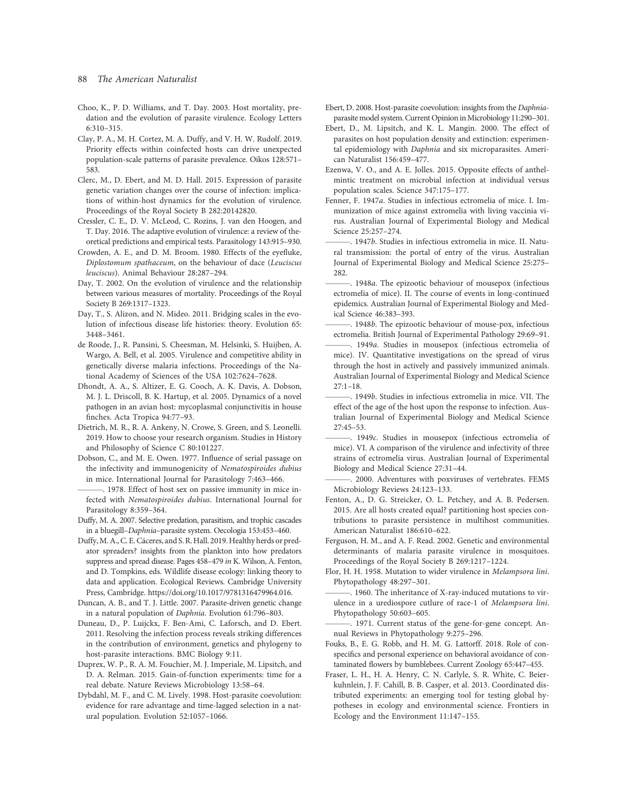## 88 The American Naturalist

- Choo, K., P. D. Williams, and T. Day. 2003. Host mortality, predation and the evolution of parasite virulence. Ecology Letters 6:310–315.
- Clay, P. A., M. H. Cortez, M. A. Duffy, and V. H. W. Rudolf. 2019. Priority effects within coinfected hosts can drive unexpected population-scale patterns of parasite prevalence. Oikos 128:571– 583.
- Clerc, M., D. Ebert, and M. D. Hall. 2015. Expression of parasite genetic variation changes over the course of infection: implications of within-host dynamics for the evolution of virulence. Proceedings of the Royal Society B 282:20142820.
- Cressler, C. E., D. V. McLeod, C. Rozins, J. van den Hoogen, and T. Day. 2016. The adaptive evolution of virulence: a review of theoretical predictions and empirical tests. Parasitology 143:915–930.
- Crowden, A. E., and D. M. Broom. 1980. Effects of the eyefluke, Diplostomum spathaceum, on the behaviour of dace (Leuciscus leuciscus). Animal Behaviour 28:287–294.
- Day, T. 2002. On the evolution of virulence and the relationship between various measures of mortality. Proceedings of the Royal Society B 269:1317–1323.
- Day, T., S. Alizon, and N. Mideo. 2011. Bridging scales in the evolution of infectious disease life histories: theory. Evolution 65: 3448–3461.
- de Roode, J., R. Pansini, S. Cheesman, M. Helsinki, S. Huijben, A. Wargo, A. Bell, et al. 2005. Virulence and competitive ability in genetically diverse malaria infections. Proceedings of the National Academy of Sciences of the USA 102:7624–7628.
- Dhondt, A. A., S. Altizer, E. G. Cooch, A. K. Davis, A. Dobson, M. J. L. Driscoll, B. K. Hartup, et al. 2005. Dynamics of a novel pathogen in an avian host: mycoplasmal conjunctivitis in house finches. Acta Tropica 94:77–93.
- Dietrich, M. R., R. A. Ankeny, N. Crowe, S. Green, and S. Leonelli. 2019. How to choose your research organism. Studies in History and Philosophy of Science C 80:101227.
- Dobson, C., and M. E. Owen. 1977. Influence of serial passage on the infectivity and immunogenicity of Nematospiroides dubius in mice. International Journal for Parasitology 7:463–466.
- 1978. Effect of host sex on passive immunity in mice infected with Nematospiroides dubius. International Journal for Parasitology 8:359–364.
- Duffy, M. A. 2007. Selective predation, parasitism, and trophic cascades in a bluegill–Daphnia–parasite system. Oecologia 153:453–460.
- Duffy,M. A., C. E. Cáceres, and S. R. Hall. 2019. Healthy herds or predator spreaders? insights from the plankton into how predators suppress and spread disease. Pages 458–479 in K. Wilson, A. Fenton, and D. Tompkins, eds. Wildlife disease ecology: linking theory to data and application. Ecological Reviews. Cambridge University Press, Cambridge. https://doi.org/10.1017/9781316479964.016.
- Duncan, A. B., and T. J. Little. 2007. Parasite-driven genetic change in a natural population of Daphnia. Evolution 61:796–803.
- Duneau, D., P. Luijckx, F. Ben-Ami, C. Laforsch, and D. Ebert. 2011. Resolving the infection process reveals striking differences in the contribution of environment, genetics and phylogeny to host-parasite interactions. BMC Biology 9:11.
- Duprex, W. P., R. A. M. Fouchier, M. J. Imperiale, M. Lipsitch, and D. A. Relman. 2015. Gain-of-function experiments: time for a real debate. Nature Reviews Microbiology 13:58–64.
- Dybdahl, M. F., and C. M. Lively. 1998. Host-parasite coevolution: evidence for rare advantage and time-lagged selection in a natural population. Evolution 52:1057–1066.
- Ebert, D. 2008. Host-parasite coevolution: insights from the Daphniaparasite model system. Current Opinion in Microbiology 11:290-301.
- Ebert, D., M. Lipsitch, and K. L. Mangin. 2000. The effect of parasites on host population density and extinction: experimental epidemiology with Daphnia and six microparasites. American Naturalist 156:459–477.
- Ezenwa, V. O., and A. E. Jolles. 2015. Opposite effects of anthelmintic treatment on microbial infection at individual versus population scales. Science 347:175–177.
- Fenner, F. 1947a. Studies in infectious ectromelia of mice. I. Immunization of mice against extromelia with living vaccinia virus. Australian Journal of Experimental Biology and Medical Science 25:257–274.
- -. 1947b. Studies in infectious extromelia in mice. II. Natural transmission: the portal of entry of the virus. Australian Journal of Experimental Biology and Medical Science 25:275– 282.
- -. 1948a. The epizootic behaviour of mousepox (infectious ectromelia of mice). II. The course of events in long-continued epidemics. Australian Journal of Experimental Biology and Medical Science 46:383–393.
- ———. 1948b. The epizootic behaviour of mouse-pox, infectious ectromelia. British Journal of Experimental Pathology 29:69–91.
- ———. 1949a. Studies in mousepox (infectious ectromelia of mice). IV. Quantitative investigations on the spread of virus through the host in actively and passively immunized animals. Australian Journal of Experimental Biology and Medical Science  $27:1 - 18$ .
- -. 1949b. Studies in infectious extromelia in mice. VII. The effect of the age of the host upon the response to infection. Australian Journal of Experimental Biology and Medical Science 27:45–53.
- ———. 1949c. Studies in mousepox (infectious ectromelia of mice). VI. A comparison of the virulence and infectivity of three strains of ectromelia virus. Australian Journal of Experimental Biology and Medical Science 27:31–44.
- 2000. Adventures with poxviruses of vertebrates. FEMS Microbiology Reviews 24:123–133.
- Fenton, A., D. G. Streicker, O. L. Petchey, and A. B. Pedersen. 2015. Are all hosts created equal? partitioning host species contributions to parasite persistence in multihost communities. American Naturalist 186:610–622.
- Ferguson, H. M., and A. F. Read. 2002. Genetic and environmental determinants of malaria parasite virulence in mosquitoes. Proceedings of the Royal Society B 269:1217–1224.
- Flor, H. H. 1958. Mutation to wider virulence in Melampsora lini. Phytopathology 48:297–301.
- -. 1960. The inheritance of X-ray-induced mutations to virulence in a urediospore cutlure of race-1 of Melampsora lini. Phytopathology 50:603–605.

———. 1971. Current status of the gene-for-gene concept. Annual Reviews in Phytopathology 9:275–296.

- Fouks, B., E. G. Robb, and H. M. G. Lattorff. 2018. Role of conspecifics and personal experience on behavioral avoidance of contaminated flowers by bumblebees. Current Zoology 65:447–455.
- Fraser, L. H., H. A. Henry, C. N. Carlyle, S. R. White, C. Beierkuhnlein, J. F. Cahill, B. B. Casper, et al. 2013. Coordinated distributed experiments: an emerging tool for testing global hypotheses in ecology and environmental science. Frontiers in Ecology and the Environment 11:147–155.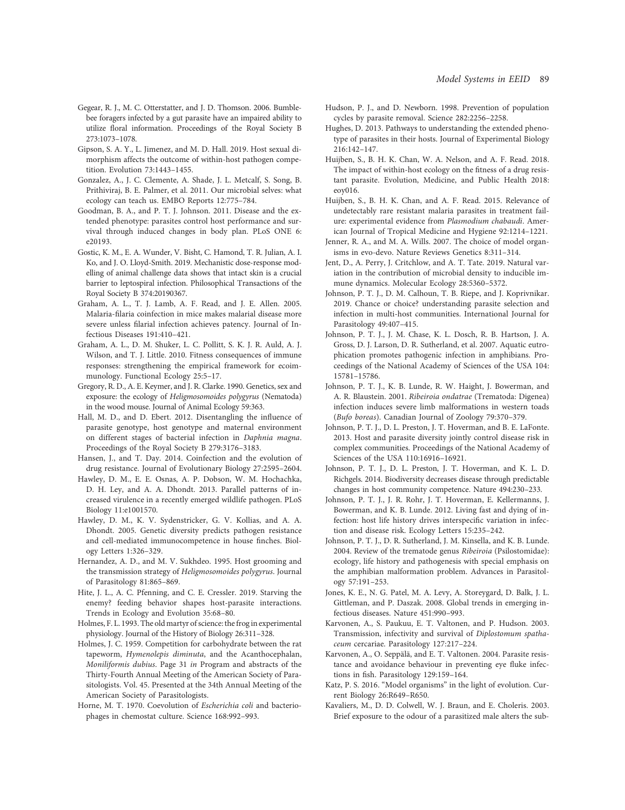- Gegear, R. J., M. C. Otterstatter, and J. D. Thomson. 2006. Bumblebee foragers infected by a gut parasite have an impaired ability to utilize floral information. Proceedings of the Royal Society B 273:1073–1078.
- Gipson, S. A. Y., L. Jimenez, and M. D. Hall. 2019. Host sexual dimorphism affects the outcome of within-host pathogen competition. Evolution 73:1443–1455.
- Gonzalez, A., J. C. Clemente, A. Shade, J. L. Metcalf, S. Song, B. Prithiviraj, B. E. Palmer, et al. 2011. Our microbial selves: what ecology can teach us. EMBO Reports 12:775–784.
- Goodman, B. A., and P. T. J. Johnson. 2011. Disease and the extended phenotype: parasites control host performance and survival through induced changes in body plan. PLoS ONE 6: e20193.
- Gostic, K. M., E. A. Wunder, V. Bisht, C. Hamond, T. R. Julian, A. I. Ko, and J. O. Lloyd-Smith. 2019. Mechanistic dose-response modelling of animal challenge data shows that intact skin is a crucial barrier to leptospiral infection. Philosophical Transactions of the Royal Society B 374:20190367.
- Graham, A. L., T. J. Lamb, A. F. Read, and J. E. Allen. 2005. Malaria-filaria coinfection in mice makes malarial disease more severe unless filarial infection achieves patency. Journal of Infectious Diseases 191:410–421.
- Graham, A. L., D. M. Shuker, L. C. Pollitt, S. K. J. R. Auld, A. J. Wilson, and T. J. Little. 2010. Fitness consequences of immune responses: strengthening the empirical framework for ecoimmunology. Functional Ecology 25:5–17.
- Gregory, R. D., A. E. Keymer, and J. R. Clarke. 1990. Genetics, sex and exposure: the ecology of Heligmosomoides polygyrus (Nematoda) in the wood mouse. Journal of Animal Ecology 59:363.
- Hall, M. D., and D. Ebert. 2012. Disentangling the influence of parasite genotype, host genotype and maternal environment on different stages of bacterial infection in Daphnia magna. Proceedings of the Royal Society B 279:3176–3183.
- Hansen, J., and T. Day. 2014. Coinfection and the evolution of drug resistance. Journal of Evolutionary Biology 27:2595–2604.
- Hawley, D. M., E. E. Osnas, A. P. Dobson, W. M. Hochachka, D. H. Ley, and A. A. Dhondt. 2013. Parallel patterns of increased virulence in a recently emerged wildlife pathogen. PLoS Biology 11:e1001570.
- Hawley, D. M., K. V. Sydenstricker, G. V. Kollias, and A. A. Dhondt. 2005. Genetic diversity predicts pathogen resistance and cell-mediated immunocompetence in house finches. Biology Letters 1:326–329.
- Hernandez, A. D., and M. V. Sukhdeo. 1995. Host grooming and the transmission strategy of Heligmosomoides polygyrus. Journal of Parasitology 81:865–869.
- Hite, J. L., A. C. Pfenning, and C. E. Cressler. 2019. Starving the enemy? feeding behavior shapes host-parasite interactions. Trends in Ecology and Evolution 35:68–80.
- Holmes, F. L. 1993. The old martyr of science: the frog in experimental physiology. Journal of the History of Biology 26:311–328.
- Holmes, J. C. 1959. Competition for carbohydrate between the rat tapeworm, Hymenolepis diminuta, and the Acanthocephalan, Moniliformis dubius. Page 31 in Program and abstracts of the Thirty-Fourth Annual Meeting of the American Society of Parasitologists. Vol. 45. Presented at the 34th Annual Meeting of the American Society of Parasitologists.
- Horne, M. T. 1970. Coevolution of Escherichia coli and bacteriophages in chemostat culture. Science 168:992–993.
- Hudson, P. J., and D. Newborn. 1998. Prevention of population cycles by parasite removal. Science 282:2256–2258.
- Hughes, D. 2013. Pathways to understanding the extended phenotype of parasites in their hosts. Journal of Experimental Biology 216:142–147.
- Huijben, S., B. H. K. Chan, W. A. Nelson, and A. F. Read. 2018. The impact of within-host ecology on the fitness of a drug resistant parasite. Evolution, Medicine, and Public Health 2018: eoy016.
- Huijben, S., B. H. K. Chan, and A. F. Read. 2015. Relevance of undetectably rare resistant malaria parasites in treatment failure: experimental evidence from Plasmodium chabaudi. American Journal of Tropical Medicine and Hygiene 92:1214–1221.
- Jenner, R. A., and M. A. Wills. 2007. The choice of model organisms in evo-devo. Nature Reviews Genetics 8:311–314.
- Jent, D., A. Perry, J. Critchlow, and A. T. Tate. 2019. Natural variation in the contribution of microbial density to inducible immune dynamics. Molecular Ecology 28:5360–5372.
- Johnson, P. T. J., D. M. Calhoun, T. B. Riepe, and J. Koprivnikar. 2019. Chance or choice? understanding parasite selection and infection in multi-host communities. International Journal for Parasitology 49:407–415.
- Johnson, P. T. J., J. M. Chase, K. L. Dosch, R. B. Hartson, J. A. Gross, D. J. Larson, D. R. Sutherland, et al. 2007. Aquatic eutrophication promotes pathogenic infection in amphibians. Proceedings of the National Academy of Sciences of the USA 104: 15781–15786.
- Johnson, P. T. J., K. B. Lunde, R. W. Haight, J. Bowerman, and A. R. Blaustein. 2001. Ribeiroia ondatrae (Trematoda: Digenea) infection induces severe limb malformations in western toads (Bufo boreas). Canadian Journal of Zoology 79:370–379.
- Johnson, P. T. J., D. L. Preston, J. T. Hoverman, and B. E. LaFonte. 2013. Host and parasite diversity jointly control disease risk in complex communities. Proceedings of the National Academy of Sciences of the USA 110:16916–16921.
- Johnson, P. T. J., D. L. Preston, J. T. Hoverman, and K. L. D. Richgels. 2014. Biodiversity decreases disease through predictable changes in host community competence. Nature 494:230–233.
- Johnson, P. T. J., J. R. Rohr, J. T. Hoverman, E. Kellermanns, J. Bowerman, and K. B. Lunde. 2012. Living fast and dying of infection: host life history drives interspecific variation in infection and disease risk. Ecology Letters 15:235–242.
- Johnson, P. T. J., D. R. Sutherland, J. M. Kinsella, and K. B. Lunde. 2004. Review of the trematode genus Ribeiroia (Psilostomidae): ecology, life history and pathogenesis with special emphasis on the amphibian malformation problem. Advances in Parasitology 57:191–253.
- Jones, K. E., N. G. Patel, M. A. Levy, A. Storeygard, D. Balk, J. L. Gittleman, and P. Daszak. 2008. Global trends in emerging infectious diseases. Nature 451:990–993.
- Karvonen, A., S. Paukuu, E. T. Valtonen, and P. Hudson. 2003. Transmission, infectivity and survival of Diplostomum spathaceum cercariae. Parasitology 127:217–224.
- Karvonen, A., O. Seppälä, and E. T. Valtonen. 2004. Parasite resistance and avoidance behaviour in preventing eye fluke infections in fish. Parasitology 129:159–164.
- Katz, P. S. 2016. "Model organisms" in the light of evolution. Current Biology 26:R649–R650.
- Kavaliers, M., D. D. Colwell, W. J. Braun, and E. Choleris. 2003. Brief exposure to the odour of a parasitized male alters the sub-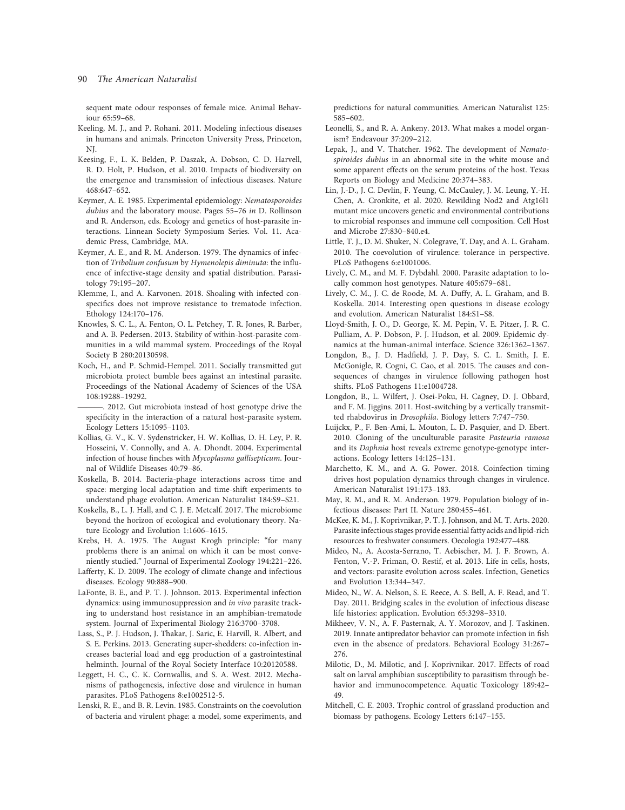## 90 The American Naturalist

sequent mate odour responses of female mice. Animal Behaviour 65:59–68.

- Keeling, M. J., and P. Rohani. 2011. Modeling infectious diseases in humans and animals. Princeton University Press, Princeton, NJ.
- Keesing, F., L. K. Belden, P. Daszak, A. Dobson, C. D. Harvell, R. D. Holt, P. Hudson, et al. 2010. Impacts of biodiversity on the emergence and transmission of infectious diseases. Nature 468:647–652.
- Keymer, A. E. 1985. Experimental epidemiology: Nematosporoides dubius and the laboratory mouse. Pages 55–76 in D. Rollinson and R. Anderson, eds. Ecology and genetics of host-parasite interactions. Linnean Society Symposium Series. Vol. 11. Academic Press, Cambridge, MA.
- Keymer, A. E., and R. M. Anderson. 1979. The dynamics of infection of Tribolium confusum by Hymenolepis diminuta: the influence of infective-stage density and spatial distribution. Parasitology 79:195–207.
- Klemme, I., and A. Karvonen. 2018. Shoaling with infected conspecifics does not improve resistance to trematode infection. Ethology 124:170–176.
- Knowles, S. C. L., A. Fenton, O. L. Petchey, T. R. Jones, R. Barber, and A. B. Pedersen. 2013. Stability of within-host-parasite communities in a wild mammal system. Proceedings of the Royal Society B 280:20130598.
- Koch, H., and P. Schmid-Hempel. 2011. Socially transmitted gut microbiota protect bumble bees against an intestinal parasite. Proceedings of the National Academy of Sciences of the USA 108:19288–19292.
- . 2012. Gut microbiota instead of host genotype drive the specificity in the interaction of a natural host-parasite system. Ecology Letters 15:1095–1103.
- Kollias, G. V., K. V. Sydenstricker, H. W. Kollias, D. H. Ley, P. R. Hosseini, V. Connolly, and A. A. Dhondt. 2004. Experimental infection of house finches with Mycoplasma gallisepticum. Journal of Wildlife Diseases 40:79–86.
- Koskella, B. 2014. Bacteria-phage interactions across time and space: merging local adaptation and time-shift experiments to understand phage evolution. American Naturalist 184:S9–S21.
- Koskella, B., L. J. Hall, and C. J. E. Metcalf. 2017. The microbiome beyond the horizon of ecological and evolutionary theory. Nature Ecology and Evolution 1:1606–1615.
- Krebs, H. A. 1975. The August Krogh principle: "for many problems there is an animal on which it can be most conveniently studied." Journal of Experimental Zoology 194:221–226.
- Lafferty, K. D. 2009. The ecology of climate change and infectious diseases. Ecology 90:888–900.
- LaFonte, B. E., and P. T. J. Johnson. 2013. Experimental infection dynamics: using immunosuppression and in vivo parasite tracking to understand host resistance in an amphibian-trematode system. Journal of Experimental Biology 216:3700–3708.
- Lass, S., P. J. Hudson, J. Thakar, J. Saric, E. Harvill, R. Albert, and S. E. Perkins. 2013. Generating super-shedders: co-infection increases bacterial load and egg production of a gastrointestinal helminth. Journal of the Royal Society Interface 10:20120588.
- Leggett, H. C., C. K. Cornwallis, and S. A. West. 2012. Mechanisms of pathogenesis, infective dose and virulence in human parasites. PLoS Pathogens 8:e1002512-5.
- Lenski, R. E., and B. R. Levin. 1985. Constraints on the coevolution of bacteria and virulent phage: a model, some experiments, and

predictions for natural communities. American Naturalist 125: 585–602.

- Leonelli, S., and R. A. Ankeny. 2013. What makes a model organism? Endeavour 37:209–212.
- Lepak, J., and V. Thatcher. 1962. The development of Nematospiroides dubius in an abnormal site in the white mouse and some apparent effects on the serum proteins of the host. Texas Reports on Biology and Medicine 20:374–383.
- Lin, J.-D., J. C. Devlin, F. Yeung, C. McCauley, J. M. Leung, Y.-H. Chen, A. Cronkite, et al. 2020. Rewilding Nod2 and Atg16l1 mutant mice uncovers genetic and environmental contributions to microbial responses and immune cell composition. Cell Host and Microbe 27:830–840.e4.
- Little, T. J., D. M. Shuker, N. Colegrave, T. Day, and A. L. Graham. 2010. The coevolution of virulence: tolerance in perspective. PLoS Pathogens 6:e1001006.
- Lively, C. M., and M. F. Dybdahl. 2000. Parasite adaptation to locally common host genotypes. Nature 405:679–681.
- Lively, C. M., J. C. de Roode, M. A. Duffy, A. L. Graham, and B. Koskella. 2014. Interesting open questions in disease ecology and evolution. American Naturalist 184:S1–S8.
- Lloyd-Smith, J. O., D. George, K. M. Pepin, V. E. Pitzer, J. R. C. Pulliam, A. P. Dobson, P. J. Hudson, et al. 2009. Epidemic dynamics at the human-animal interface. Science 326:1362–1367.
- Longdon, B., J. D. Hadfield, J. P. Day, S. C. L. Smith, J. E. McGonigle, R. Cogni, C. Cao, et al. 2015. The causes and consequences of changes in virulence following pathogen host shifts. PLoS Pathogens 11:e1004728.
- Longdon, B., L. Wilfert, J. Osei-Poku, H. Cagney, D. J. Obbard, and F. M. Jiggins. 2011. Host-switching by a vertically transmitted rhabdovirus in Drosophila. Biology letters 7:747–750.
- Luijckx, P., F. Ben-Ami, L. Mouton, L. D. Pasquier, and D. Ebert. 2010. Cloning of the unculturable parasite Pasteuria ramosa and its Daphnia host reveals extreme genotype-genotype interactions. Ecology letters 14:125–131.
- Marchetto, K. M., and A. G. Power. 2018. Coinfection timing drives host population dynamics through changes in virulence. American Naturalist 191:173–183.
- May, R. M., and R. M. Anderson. 1979. Population biology of infectious diseases: Part II. Nature 280:455–461.
- McKee, K. M., J. Koprivnikar, P. T. J. Johnson, and M. T. Arts. 2020. Parasite infectious stages provide essential fatty acids and lipid-rich resources to freshwater consumers. Oecologia 192:477–488.
- Mideo, N., A. Acosta-Serrano, T. Aebischer, M. J. F. Brown, A. Fenton, V.-P. Friman, O. Restif, et al. 2013. Life in cells, hosts, and vectors: parasite evolution across scales. Infection, Genetics and Evolution 13:344–347.
- Mideo, N., W. A. Nelson, S. E. Reece, A. S. Bell, A. F. Read, and T. Day. 2011. Bridging scales in the evolution of infectious disease life histories: application. Evolution 65:3298–3310.
- Mikheev, V. N., A. F. Pasternak, A. Y. Morozov, and J. Taskinen. 2019. Innate antipredator behavior can promote infection in fish even in the absence of predators. Behavioral Ecology 31:267– 276.
- Milotic, D., M. Milotic, and J. Koprivnikar. 2017. Effects of road salt on larval amphibian susceptibility to parasitism through behavior and immunocompetence. Aquatic Toxicology 189:42– 49.
- Mitchell, C. E. 2003. Trophic control of grassland production and biomass by pathogens. Ecology Letters 6:147–155.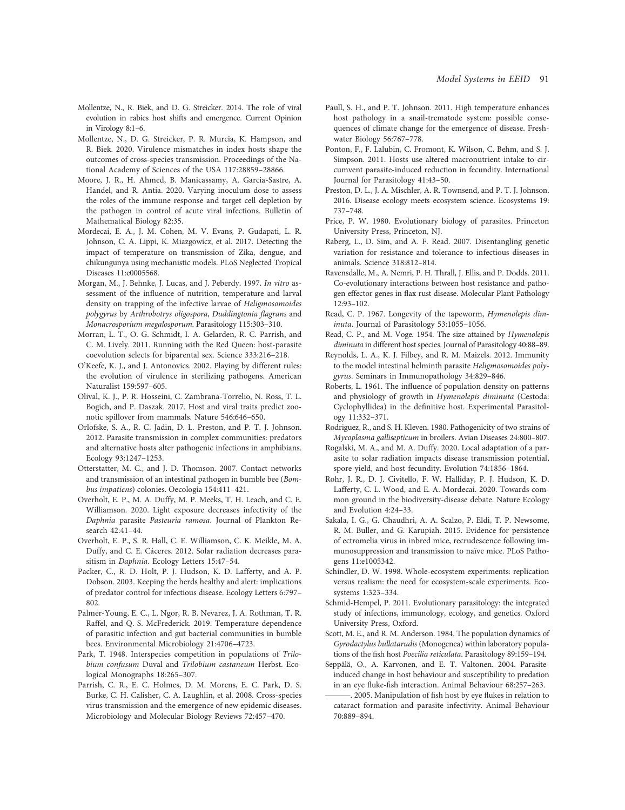- Mollentze, N., R. Biek, and D. G. Streicker. 2014. The role of viral evolution in rabies host shifts and emergence. Current Opinion in Virology 8:1–6.
- Mollentze, N., D. G. Streicker, P. R. Murcia, K. Hampson, and R. Biek. 2020. Virulence mismatches in index hosts shape the outcomes of cross-species transmission. Proceedings of the National Academy of Sciences of the USA 117:28859–28866.
- Moore, J. R., H. Ahmed, B. Manicassamy, A. Garcia-Sastre, A. Handel, and R. Antia. 2020. Varying inoculum dose to assess the roles of the immune response and target cell depletion by the pathogen in control of acute viral infections. Bulletin of Mathematical Biology 82:35.
- Mordecai, E. A., J. M. Cohen, M. V. Evans, P. Gudapati, L. R. Johnson, C. A. Lippi, K. Miazgowicz, et al. 2017. Detecting the impact of temperature on transmission of Zika, dengue, and chikungunya using mechanistic models. PLoS Neglected Tropical Diseases 11:e0005568.
- Morgan, M., J. Behnke, J. Lucas, and J. Peberdy. 1997. In vitro assessment of the influence of nutrition, temperature and larval density on trapping of the infective larvae of Heligmosomoides polygyrus by Arthrobotrys oligospora, Duddingtonia flagrans and Monacrosporium megalosporum. Parasitology 115:303–310.
- Morran, L. T., O. G. Schmidt, I. A. Gelarden, R. C. Parrish, and C. M. Lively. 2011. Running with the Red Queen: host-parasite coevolution selects for biparental sex. Science 333:216–218.
- O'Keefe, K. J., and J. Antonovics. 2002. Playing by different rules: the evolution of virulence in sterilizing pathogens. American Naturalist 159:597–605.
- Olival, K. J., P. R. Hosseini, C. Zambrana-Torrelio, N. Ross, T. L. Bogich, and P. Daszak. 2017. Host and viral traits predict zoonotic spillover from mammals. Nature 546:646–650.
- Orlofske, S. A., R. C. Jadin, D. L. Preston, and P. T. J. Johnson. 2012. Parasite transmission in complex communities: predators and alternative hosts alter pathogenic infections in amphibians. Ecology 93:1247–1253.
- Otterstatter, M. C., and J. D. Thomson. 2007. Contact networks and transmission of an intestinal pathogen in bumble bee (Bombus impatiens) colonies. Oecologia 154:411–421.
- Overholt, E. P., M. A. Duffy, M. P. Meeks, T. H. Leach, and C. E. Williamson. 2020. Light exposure decreases infectivity of the Daphnia parasite Pasteuria ramosa. Journal of Plankton Research 42:41–44.
- Overholt, E. P., S. R. Hall, C. E. Williamson, C. K. Meikle, M. A. Duffy, and C. E. Cáceres. 2012. Solar radiation decreases parasitism in Daphnia. Ecology Letters 15:47–54.
- Packer, C., R. D. Holt, P. J. Hudson, K. D. Lafferty, and A. P. Dobson. 2003. Keeping the herds healthy and alert: implications of predator control for infectious disease. Ecology Letters 6:797– 802.
- Palmer-Young, E. C., L. Ngor, R. B. Nevarez, J. A. Rothman, T. R. Raffel, and Q. S. McFrederick. 2019. Temperature dependence of parasitic infection and gut bacterial communities in bumble bees. Environmental Microbiology 21:4706–4723.
- Park, T. 1948. Interspecies competition in populations of Trilobium confusum Duval and Trilobium castaneum Herbst. Ecological Monographs 18:265–307.
- Parrish, C. R., E. C. Holmes, D. M. Morens, E. C. Park, D. S. Burke, C. H. Calisher, C. A. Laughlin, et al. 2008. Cross-species virus transmission and the emergence of new epidemic diseases. Microbiology and Molecular Biology Reviews 72:457–470.
- Paull, S. H., and P. T. Johnson. 2011. High temperature enhances host pathology in a snail-trematode system: possible consequences of climate change for the emergence of disease. Freshwater Biology 56:767–778.
- Ponton, F., F. Lalubin, C. Fromont, K. Wilson, C. Behm, and S. J. Simpson. 2011. Hosts use altered macronutrient intake to circumvent parasite-induced reduction in fecundity. International Journal for Parasitology 41:43–50.
- Preston, D. L., J. A. Mischler, A. R. Townsend, and P. T. J. Johnson. 2016. Disease ecology meets ecosystem science. Ecosystems 19: 737–748.
- Price, P. W. 1980. Evolutionary biology of parasites. Princeton University Press, Princeton, NJ.
- Raberg, L., D. Sim, and A. F. Read. 2007. Disentangling genetic variation for resistance and tolerance to infectious diseases in animals. Science 318:812–814.
- Ravensdalle, M., A. Nemri, P. H. Thrall, J. Ellis, and P. Dodds. 2011. Co-evolutionary interactions between host resistance and pathogen effector genes in flax rust disease. Molecular Plant Pathology 12:93–102.
- Read, C. P. 1967. Longevity of the tapeworm, Hymenolepis diminuta. Journal of Parasitology 53:1055–1056.
- Read, C. P., and M. Voge. 1954. The size attained by Hymenolepis diminuta in different host species. Journal of Parasitology 40:88–89.
- Reynolds, L. A., K. J. Filbey, and R. M. Maizels. 2012. Immunity to the model intestinal helminth parasite Heligmosomoides polygyrus. Seminars in Immunopathology 34:829–846.
- Roberts, L. 1961. The influence of population density on patterns and physiology of growth in Hymenolepis diminuta (Cestoda: Cyclophyllidea) in the definitive host. Experimental Parasitology 11:332–371.
- Rodriguez, R., and S. H. Kleven. 1980. Pathogenicity of two strains of Mycoplasma gallisepticum in broilers. Avian Diseases 24:800–807.
- Rogalski, M. A., and M. A. Duffy. 2020. Local adaptation of a parasite to solar radiation impacts disease transmission potential, spore yield, and host fecundity. Evolution 74:1856–1864.
- Rohr, J. R., D. J. Civitello, F. W. Halliday, P. J. Hudson, K. D. Lafferty, C. L. Wood, and E. A. Mordecai. 2020. Towards common ground in the biodiversity-disease debate. Nature Ecology and Evolution 4:24–33.
- Sakala, I. G., G. Chaudhri, A. A. Scalzo, P. Eldi, T. P. Newsome, R. M. Buller, and G. Karupiah. 2015. Evidence for persistence of ectromelia virus in inbred mice, recrudescence following immunosuppression and transmission to naïve mice. PLoS Pathogens 11:e1005342.
- Schindler, D. W. 1998. Whole-ecosystem experiments: replication versus realism: the need for ecosystem-scale experiments. Ecosystems 1:323–334.
- Schmid-Hempel, P. 2011. Evolutionary parasitology: the integrated study of infections, immunology, ecology, and genetics. Oxford University Press, Oxford.
- Scott, M. E., and R. M. Anderson. 1984. The population dynamics of Gyrodactylus bullatarudis (Monogenea) within laboratory populations of the fish host Poecilia reticulata. Parasitology 89:159–194.
- Seppälä, O., A. Karvonen, and E. T. Valtonen. 2004. Parasiteinduced change in host behaviour and susceptibility to predation in an eye fluke-fish interaction. Animal Behaviour 68:257–263.
- . 2005. Manipulation of fish host by eye flukes in relation to cataract formation and parasite infectivity. Animal Behaviour 70:889–894.